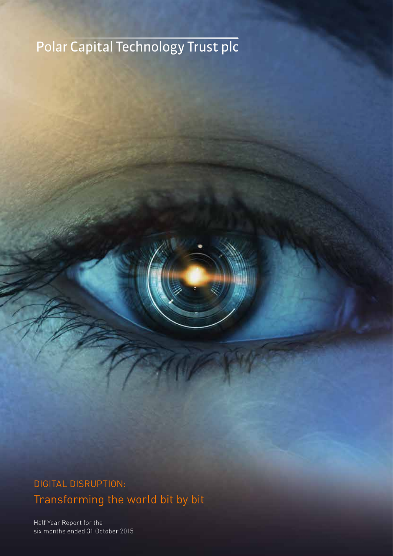# Polar Capital Technology Trust plc

# DIGITAL DISRUPTION: Transforming the world bit by bit

Half Year Report for the six months ended 31 October 2015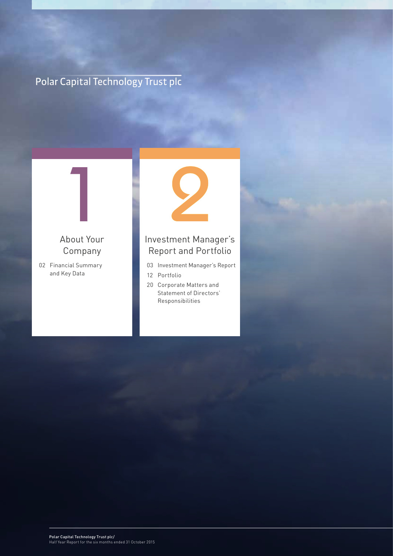# Polar Capital Technology Trust plc

# 1 About Your Company

02 Financial Summary and Key Data

1 About Your Company



## Investment Manager's Report and Portfolio

- 03 Investment Manager's Report
- 12 Portfolio
- 20 Corporate Matters and Statement of Directors' Responsibilities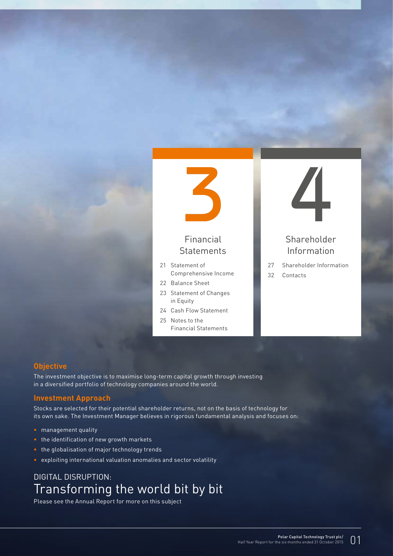

## Financial **Statements**

- 21 Statement of Comprehensive Income
- 22 Balance Sheet
- 23 Statement of Changes in Equity
- 24 Cash Flow Statement
- 25 Notes to the
	- Financial Statements



## Shareholder Information

27 Shareholder Information 32 Contacts

#### **Objective**

The investment objective is to maximise long-term capital growth through investing in a diversified portfolio of technology companies around the world.

#### **Investment Approach**

Stocks are selected for their potential shareholder returns, not on the basis of technology for its own sake. The Investment Manager believes in rigorous fundamental analysis and focuses on:

- management quality
- the identification of new growth markets
- the globalisation of major technology trends
- exploiting international valuation anomalies and sector volatility

## DIGITAL DISRUPTION: Transforming the world bit by bit

Please see the Annual Report for more on this subject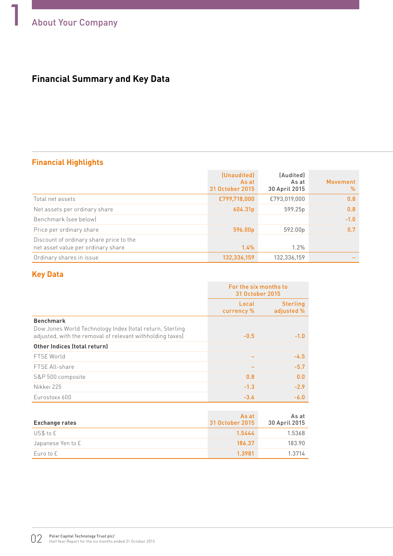## **Financial Summary and Key Data**

## **Financial Highlights**

|                                                                               | (Unaudited)<br>As at<br>31 October 2015 | (Audited)<br>As at<br>30 April 2015 | Movement<br>$\%$ |
|-------------------------------------------------------------------------------|-----------------------------------------|-------------------------------------|------------------|
| Total net assets                                                              | £799,718,000                            | £793,019,000                        | 0.8              |
| Net assets per ordinary share                                                 | 604.31p                                 | 599.25p                             | 0.8              |
| Benchmark (see below)                                                         |                                         |                                     | $-1.0$           |
| Price per ordinary share                                                      | 596.00p                                 | 592.00p                             | 0.7              |
| Discount of ordinary share price to the<br>net asset value per ordinary share | 1.4%                                    | $1.2\%$                             |                  |
| Ordinary shares in issue                                                      | 132,336,159                             | 132,336,159                         |                  |

## **Key Data**

|                                                                                                                                           | For the six months to<br>31 October 2015 |                               |  |
|-------------------------------------------------------------------------------------------------------------------------------------------|------------------------------------------|-------------------------------|--|
|                                                                                                                                           | Local<br>currency %                      | <b>Sterling</b><br>adjusted % |  |
| <b>Benchmark</b><br>Dow Jones World Technology Index (total return, Sterling<br>adjusted, with the removal of relevant withholding taxes) | $-0.5$                                   | $-1.0$                        |  |
| Other Indices (total return)                                                                                                              |                                          |                               |  |
| FTSE World                                                                                                                                |                                          | $-4.5$                        |  |
| FTSE All-share                                                                                                                            |                                          | $-5.7$                        |  |
| S&P 500 composite                                                                                                                         | 0.8                                      | 0.0                           |  |
| Nikkei 225                                                                                                                                | $-1.3$                                   | $-2.9$                        |  |
| Eurostoxx 600                                                                                                                             | $-3.6$                                   | $-6.0$                        |  |

| <b>Exchange rates</b> | As at<br>31 October 2015 | As at<br>30 April 2015 |
|-----------------------|--------------------------|------------------------|
| US\$ to £             | 1.5444                   | 1.5368                 |
| Japanese Yen to £     | 186.37                   | 183.90                 |
| Euro to £             | 1.3981                   | 1.3714                 |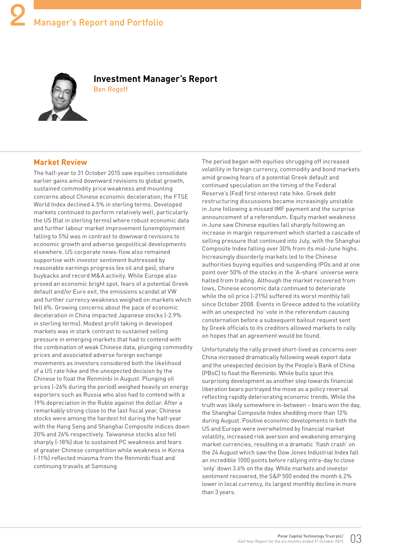

#### **Investment Manager's Report**  Ben Rogoff

#### **Market Review**

The half-year to 31 October 2015 saw equities consolidate earlier gains amid downward revisions to global growth, sustained commodity price weakness and mounting concerns about Chinese economic deceleration; the FTSE World Index declined 4.5% in sterling terms. Developed markets continued to perform relatively well, particularly the US (flat in sterling terms) where robust economic data and further labour market improvement (unemployment falling to 5%) was in contrast to downward revisions to economic growth and adverse geopolitical developments elsewhere. US corporate news-flow also remained supportive with investor sentiment buttressed by reasonable earnings progress (ex oil and gas), share buybacks and record M&A activity. While Europe also proved an economic bright spot, fears of a potential Greek default and/or Euro exit, the emissions scandal at VW and further currency weakness weighed on markets which fell 6%. Growing concerns about the pace of economic deceleration in China impacted Japanese stocks (-2.9% in sterling terms). Modest profit taking in developed markets was in stark contrast to sustained selling pressure in emerging markets that had to contend with the combination of weak Chinese data, plunging commodity prices and associated adverse foreign exchange movements as investors considered both the likelihood of a US rate hike and the unexpected decision by the Chinese to float the Renminbi in August. Plunging oil prices (-26% during the period) weighed heavily on energy exporters such as Russia who also had to contend with a 19% depreciation in the Ruble against the dollar. After a remarkably strong close to the last fiscal year, Chinese stocks were among the hardest hit during the half-year with the Hang Seng and Shanghai Composite indices down 20% and 26% respectively. Taiwanese stocks also fell sharply (-18%) due to sustained PC weakness and fears of greater Chinese competition while weakness in Korea (-11%) reflected miasma from the Renminbi float and continuing travails at Samsung.

The period began with equities shrugging off increased volatility in foreign currency, commodity and bond markets amid growing fears of a potential Greek default and continued speculation on the timing of the Federal Reserve's (Fed) first interest rate hike. Greek debt restructuring discussions became increasingly unstable in June following a missed IMF payment and the surprise announcement of a referendum. Equity market weakness in June saw Chinese equities fall sharply following an increase in margin requirement which started a cascade of selling pressure that continued into July, with the Shanghai Composite Index falling over 30% from its mid-June highs. Increasingly disorderly markets led to the Chinese authorities buying equities and suspending IPOs and at one point over 50% of the stocks in the 'A-share' universe were halted from trading. Although the market recovered from lows, Chinese economic data continued to deteriorate while the oil price (-21%) suffered its worst monthly fall since October 2008. Events in Greece added to the volatility with an unexpected 'no' vote in the referendum causing consternation before a subsequent bailout request sent by Greek officials to its creditors allowed markets to rally on hopes that an agreement would be found.

Unfortunately the rally proved short-lived as concerns over China increased dramatically following weak export data and the unexpected decision by the People's Bank of China (PBoC) to float the Renminbi. While bulls spun this surprising development as another step towards financial liberation bears portrayed the move as a policy reversal reflecting rapidly deteriorating economic trends. While the truth was likely somewhere in-between – bears won the day, the Shanghai Composite Index shedding more than 12% during August. Positive economic developments in both the US and Europe were overwhelmed by financial market volatility, increased risk aversion and weakening emerging market currencies, resulting in a dramatic 'flash crash' on the 24 August which saw the Dow Jones Industrial Index fall an incredible 1000 points before rallying intra-day to close 'only' down 3.6% on the day. While markets and investor sentiment recovered, the S&P 500 ended the month 6.2% lower in local currency, its largest monthly decline in more than 3 years.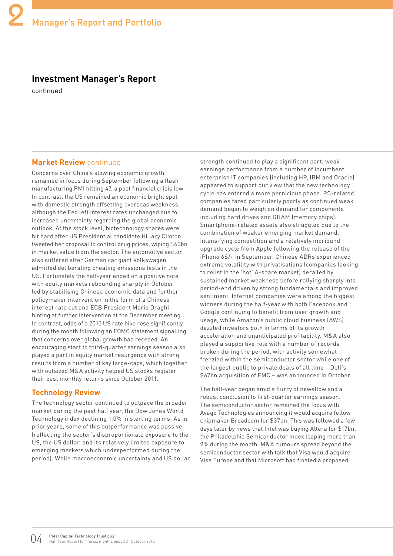## **Investment Manager's Report**

continued

#### **Market Review** continued

Concerns over China's slowing economic growth remained in focus during September following a flash manufacturing PMI hitting 47, a post financial crisis low. In contrast, the US remained an economic bright spot with domestic strength offsetting overseas weakness, although the Fed left interest rates unchanged due to increased uncertainty regarding the global economic outlook. At the stock level, biotechnology shares were hit hard after US Presidential candidate Hillary Clinton tweeted her proposal to control drug prices, wiping \$40bn in market value from the sector. The automotive sector also suffered after German car giant Volkswagen admitted deliberating cheating emissions tests in the US. Fortunately the half-year ended on a positive note with equity markets rebounding sharply in October led by stabilising Chinese economic data and further policymaker intervention in the form of a Chinese interest rate cut and ECB President Mario Draghi hinting at further intervention at the December meeting. In contrast, odds of a 2015 US rate hike rose significantly during the month following an FOMC statement signalling that concerns over global growth had receded. An encouraging start to third-quarter earnings season also played a part in equity market resurgence with strong results from a number of key large-caps, which together with outsized M&A activity helped US stocks register their best monthly returns since October 2011.

#### **Technology Review**

The technology sector continued to outpace the broader market during the past half year, the Dow Jones World Technology index declining 1.0% in sterling terms. As in prior years, some of this outperformance was passive (reflecting the sector's disproportionate exposure to the US, the US dollar, and its relatively limited exposure to emerging markets which underperformed during the period). While macroeconomic uncertainty and US dollar strength continued to play a significant part, weak earnings performance from a number of incumbent enterprise IT companies (including HP, IBM and Oracle) appeared to support our view that the new technology cycle has entered a more pernicious phase. PC-related companies fared particularly poorly as continued weak demand began to weigh on demand for components including hard drives and DRAM (memory chips). Smartphone-related assets also struggled due to the combination of weaker emerging market demand, intensifying competition and a relatively moribund upgrade cycle from Apple following the release of the iPhone 6S/+ in September. Chinese ADRs experienced extreme volatility with privatisations (companies looking to relist in the 'hot' A-share market) derailed by sustained market weakness before rallying sharply into period-end driven by strong fundamentals and improved sentiment. Internet companies were among the biggest winners during the half-year with both Facebook and Google continuing to benefit from user growth and usage, while Amazon's public cloud business (AWS) dazzled investors both in terms of its growth acceleration and unanticipated profitability. M&A also played a supportive role with a number of records broken during the period, with activity somewhat frenzied within the semiconductor sector while one of the largest public to private deals of all time – Dell's \$67bn acquisition of EMC – was announced in October.

The half-year began amid a flurry of newsflow and a robust conclusion to first-quarter earnings season. The semiconductor sector remained the focus with Avago Technologies announcing it would acquire fellow chipmaker Broadcom for \$37bn. This was followed a few days later by news that Intel was buying Altera for \$17bn, the Philadelphia Semiconductor Index leaping more than 9% during the month. M&A rumours spread beyond the semiconductor sector with talk that Visa would acquire Visa Europe and that Microsoft had floated a proposed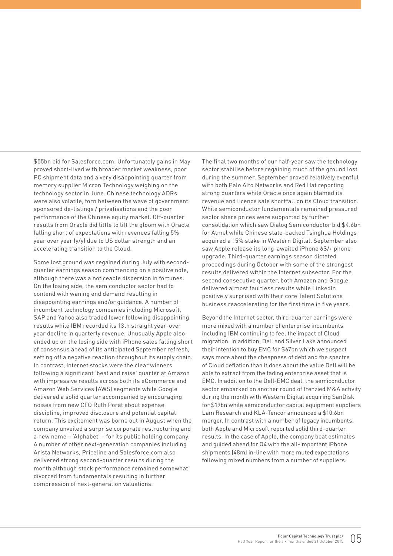\$55bn bid for Salesforce.com. Unfortunately gains in May proved short-lived with broader market weakness, poor PC shipment data and a very disappointing quarter from memory supplier Micron Technology weighing on the technology sector in June. Chinese technology ADRs were also volatile, torn between the wave of government sponsored de-listings / privatisations and the poor performance of the Chinese equity market. Off-quarter results from Oracle did little to lift the gloom with Oracle falling short of expectations with revenues falling 5% year over year (y/y) due to US dollar strength and an accelerating transition to the Cloud.

Some lost ground was regained during July with secondquarter earnings season commencing on a positive note, although there was a noticeable dispersion in fortunes. On the losing side, the semiconductor sector had to contend with waning end demand resulting in disappointing earnings and/or guidance. A number of incumbent technology companies including Microsoft, SAP and Yahoo also traded lower following disappointing results while IBM recorded its 13th straight year-over year decline in quarterly revenue. Unusually Apple also ended up on the losing side with iPhone sales falling short of consensus ahead of its anticipated September refresh, setting off a negative reaction throughout its supply chain. In contrast, Internet stocks were the clear winners following a significant 'beat and raise' quarter at Amazon with impressive results across both its eCommerce and Amazon Web Services (AWS) segments while Google delivered a solid quarter accompanied by encouraging noises from new CFO Ruth Porat about expense discipline, improved disclosure and potential capital return. This excitement was borne out in August when the company unveiled a surprise corporate restructuring and a new name – 'Alphabet' – for its public holding company. A number of other next-generation companies including Arista Networks, Priceline and Salesforce.com also delivered strong second-quarter results during the month although stock performance remained somewhat divorced from fundamentals resulting in further compression of next-generation valuations.

The final two months of our half-year saw the technology sector stabilise before regaining much of the ground lost during the summer. September proved relatively eventful with both Palo Alto Networks and Red Hat reporting strong quarters while Oracle once again blamed its revenue and licence sale shortfall on its Cloud transition. While semiconductor fundamentals remained pressured sector share prices were supported by further consolidation which saw Dialog Semiconductor bid \$4.6bn for Atmel while Chinese state-backed Tsinghua Holdings acquired a 15% stake in Western Digital. September also saw Apple release its long-awaited iPhone 6S/+ phone upgrade. Third-quarter earnings season dictated proceedings during October with some of the strongest results delivered within the Internet subsector. For the second consecutive quarter, both Amazon and Google delivered almost faultless results while LinkedIn positively surprised with their core Talent Solutions business reaccelerating for the first time in five years.

Beyond the Internet sector, third-quarter earnings were more mixed with a number of enterprise incumbents including IBM continuing to feel the impact of Cloud migration. In addition, Dell and Silver Lake announced their intention to buy EMC for \$67bn which we suspect says more about the cheapness of debt and the spectre of Cloud deflation than it does about the value Dell will be able to extract from the fading enterprise asset that is EMC. In addition to the Dell-EMC deal, the semiconductor sector embarked on another round of frenzied M&A activity during the month with Western Digital acquiring SanDisk for \$19bn while semiconductor capital equipment suppliers Lam Research and KLA-Tencor announced a \$10.6bn merger. In contrast with a number of legacy incumbents, both Apple and Microsoft reported solid third-quarter results. In the case of Apple, the company beat estimates and guided ahead for Q4 with the all-important iPhone shipments (48m) in-line with more muted expectations following mixed numbers from a number of suppliers.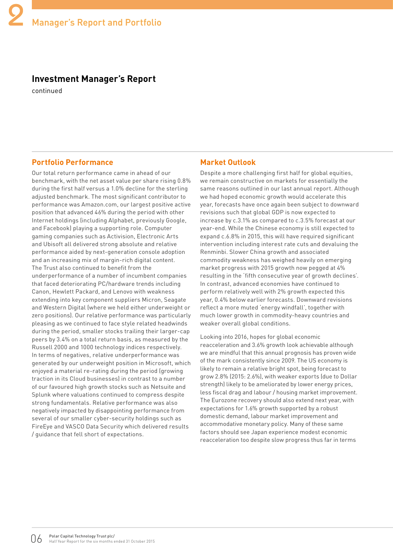### **Investment Manager's Report**

continued

#### **Portfolio Performance**

Our total return performance came in ahead of our benchmark, with the net asset value per share rising 0.8% during the first half versus a 1.0% decline for the sterling adjusted benchmark. The most significant contributor to performance was Amazon.com, our largest positive active position that advanced 46% during the period with other Internet holdings (including Alphabet, previously Google, and Facebook) playing a supporting role. Computer gaming companies such as Activision, Electronic Arts and Ubisoft all delivered strong absolute and relative performance aided by next-generation console adoption and an increasing mix of margin-rich digital content. The Trust also continued to benefit from the underperformance of a number of incumbent companies that faced deteriorating PC/hardware trends including Canon, Hewlett Packard, and Lenovo with weakness extending into key component suppliers Micron, Seagate and Western Digital (where we held either underweight or zero positions). Our relative performance was particularly pleasing as we continued to face style related headwinds during the period, smaller stocks trailing their larger-cap peers by 3.4% on a total return basis, as measured by the Russell 2000 and 1000 technology indices respectively. In terms of negatives, relative underperformance was generated by our underweight position in Microsoft, which enjoyed a material re-rating during the period (growing traction in its Cloud businesses) in contrast to a number of our favoured high growth stocks such as Netsuite and Splunk where valuations continued to compress despite strong fundamentals. Relative performance was also negatively impacted by disappointing performance from several of our smaller cyber-security holdings such as FireEye and VASCO Data Security which delivered results / guidance that fell short of expectations.

#### **Market Outlook**

Despite a more challenging first half for global equities, we remain constructive on markets for essentially the same reasons outlined in our last annual report. Although we had hoped economic growth would accelerate this year, forecasts have once again been subject to downward revisions such that global GDP is now expected to increase by c.3.1% as compared to c.3.5% forecast at our year-end. While the Chinese economy is still expected to expand c.6.8% in 2015, this will have required significant intervention including interest rate cuts and devaluing the Renminbi. Slower China growth and associated commodity weakness has weighed heavily on emerging market progress with 2015 growth now pegged at 4% resulting in the 'fifth consecutive year of growth declines'. In contrast, advanced economies have continued to perform relatively well with 2% growth expected this year, 0.4% below earlier forecasts. Downward revisions reflect a more muted 'energy windfall', together with much lower growth in commodity-heavy countries and weaker overall global conditions.

Looking into 2016, hopes for global economic reacceleration and 3.6% growth look achievable although we are mindful that this annual prognosis has proven wide of the mark consistently since 2009. The US economy is likely to remain a relative bright spot, being forecast to grow 2.8% (2015: 2.6%), with weaker exports (due to Dollar strength) likely to be ameliorated by lower energy prices, less fiscal drag and labour / housing market improvement. The Eurozone recovery should also extend next year, with expectations for 1.6% growth supported by a robust domestic demand, labour market improvement and accommodative monetary policy. Many of these same factors should see Japan experience modest economic reacceleration too despite slow progress thus far in terms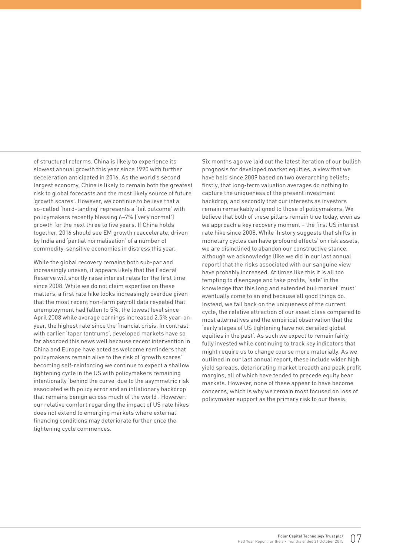of structural reforms. China is likely to experience its slowest annual growth this year since 1990 with further deceleration anticipated in 2016. As the world's second largest economy, China is likely to remain both the greatest risk to global forecasts and the most likely source of future 'growth scares'. However, we continue to believe that a so-called 'hard-landing' represents a 'tail outcome' with policymakers recently blessing 6–7% ('very normal') growth for the next three to five years. If China holds together, 2016 should see EM growth reaccelerate, driven by India and 'partial normalisation' of a number of commodity-sensitive economies in distress this year.

While the global recovery remains both sub-par and increasingly uneven, it appears likely that the Federal Reserve will shortly raise interest rates for the first time since 2008. While we do not claim expertise on these matters, a first rate hike looks increasingly overdue given that the most recent non-farm payroll data revealed that unemployment had fallen to 5%, the lowest level since April 2008 while average earnings increased 2.5% year-onyear, the highest rate since the financial crisis. In contrast with earlier 'taper tantrums', developed markets have so far absorbed this news well because recent intervention in China and Europe have acted as welcome reminders that policymakers remain alive to the risk of 'growth scares' becoming self-reinforcing we continue to expect a shallow tightening cycle in the US with policymakers remaining intentionally 'behind the curve' due to the asymmetric risk associated with policy error and an inflationary backdrop that remains benign across much of the world . However, our relative comfort regarding the impact of US rate hikes does not extend to emerging markets where external financing conditions may deteriorate further once the tightening cycle commences.

Six months ago we laid out the latest iteration of our bullish prognosis for developed market equities, a view that we have held since 2009 based on two overarching beliefs; firstly, that long-term valuation averages do nothing to capture the uniqueness of the present investment backdrop, and secondly that our interests as investors remain remarkably aligned to those of policymakers. We believe that both of these pillars remain true today, even as we approach a key recovery moment – the first US interest rate hike since 2008. While 'history suggests that shifts in monetary cycles can have profound effects' on risk assets, we are disinclined to abandon our constructive stance, although we acknowledge (like we did in our last annual report) that the risks associated with our sanguine view have probably increased. At times like this it is all too tempting to disengage and take profits, 'safe' in the knowledge that this long and extended bull market 'must' eventually come to an end because all good things do. Instead, we fall back on the uniqueness of the current cycle, the relative attraction of our asset class compared to most alternatives and the empirical observation that the 'early stages of US tightening have not derailed global equities in the past'. As such we expect to remain fairly fully invested while continuing to track key indicators that might require us to change course more materially. As we outlined in our last annual report, these include wider high yield spreads, deteriorating market breadth and peak profit margins, all of which have tended to precede equity bear markets. However, none of these appear to have become concerns, which is why we remain most focused on loss of policymaker support as the primary risk to our thesis.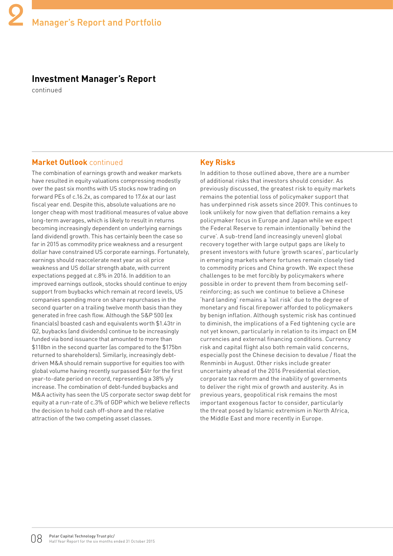#### **Investment Manager's Report**

continued

#### **Market Outlook** continued

The combination of earnings growth and weaker markets have resulted in equity valuations compressing modestly over the past six months with US stocks now trading on forward PEs of c.16.2x, as compared to 17.6x at our last fiscal year end. Despite this, absolute valuations are no longer cheap with most traditional measures of value above long-term averages, which is likely to result in returns becoming increasingly dependent on underlying earnings (and dividend) growth. This has certainly been the case so far in 2015 as commodity price weakness and a resurgent dollar have constrained US corporate earnings. Fortunately, earnings should reaccelerate next year as oil price weakness and US dollar strength abate, with current expectations pegged at c.8% in 2016. In addition to an improved earnings outlook, stocks should continue to enjoy support from buybacks which remain at record levels, US companies spending more on share repurchases in the second quarter on a trailing twelve month basis than they generated in free cash flow. Although the S&P 500 (ex financials) boasted cash and equivalents worth \$1.43tr in Q2, buybacks (and dividends) continue to be increasingly funded via bond issuance that amounted to more than \$118bn in the second quarter (as compared to the \$175bn returned to shareholders). Similarly, increasingly debtdriven M&A should remain supportive for equities too with global volume having recently surpassed \$4tr for the first year-to-date period on record, representing a 38% y/y increase. The combination of debt-funded buybacks and M&A activity has seen the US corporate sector swap debt for equity at a run-rate of c.3% of GDP which we believe reflects the decision to hold cash off-shore and the relative attraction of the two competing asset classes.

#### **Key Risks**

In addition to those outlined above, there are a number of additional risks that investors should consider. As previously discussed, the greatest risk to equity markets remains the potential loss of policymaker support that has underpinned risk assets since 2009. This continues to look unlikely for now given that deflation remains a key policymaker focus in Europe and Japan while we expect the Federal Reserve to remain intentionally 'behind the curve'. A sub-trend (and increasingly uneven) global recovery together with large output gaps are likely to present investors with future 'growth scares', particularly in emerging markets where fortunes remain closely tied to commodity prices and China growth. We expect these challenges to be met forcibly by policymakers where possible in order to prevent them from becoming selfreinforcing; as such we continue to believe a Chinese 'hard landing' remains a 'tail risk' due to the degree of monetary and fiscal firepower afforded to policymakers by benign inflation. Although systemic risk has continued to diminish, the implications of a Fed tightening cycle are not yet known, particularly in relation to its impact on EM currencies and external financing conditions. Currency risk and capital flight also both remain valid concerns, especially post the Chinese decision to devalue / float the Renminbi in August. Other risks include greater uncertainty ahead of the 2016 Presidential election, corporate tax reform and the inability of governments to deliver the right mix of growth and austerity. As in previous years, geopolitical risk remains the most important exogenous factor to consider, particularly the threat posed by Islamic extremism in North Africa, the Middle East and more recently in Europe.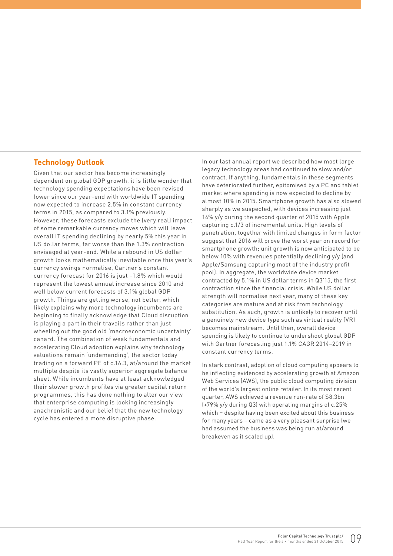#### **Technology Outlook**

Given that our sector has become increasingly dependent on global GDP growth, it is little wonder that technology spending expectations have been revised lower since our year-end with worldwide IT spending now expected to increase 2.5% in constant currency terms in 2015, as compared to 3.1% previously. However, these forecasts exclude the (very real) impact of some remarkable currency moves which will leave overall IT spending declining by nearly 5% this year in US dollar terms, far worse than the 1.3% contraction envisaged at year-end. While a rebound in US dollar growth looks mathematically inevitable once this year's currency swings normalise, Gartner's constant currency forecast for 2016 is just +1.8% which would represent the lowest annual increase since 2010 and well below current forecasts of 3.1% global GDP growth. Things are getting worse, not better, which likely explains why more technology incumbents are beginning to finally acknowledge that Cloud disruption is playing a part in their travails rather than just wheeling out the good old 'macroeconomic uncertainty' canard. The combination of weak fundamentals and accelerating Cloud adoption explains why technology valuations remain 'undemanding', the sector today trading on a forward PE of c.16.3, at/around the market multiple despite its vastly superior aggregate balance sheet. While incumbents have at least acknowledged their slower growth profiles via greater capital return programmes, this has done nothing to alter our view that enterprise computing is looking increasingly anachronistic and our belief that the new technology cycle has entered a more disruptive phase.

In our last annual report we described how most large legacy technology areas had continued to slow and/or contract. If anything, fundamentals in these segments have deteriorated further, epitomised by a PC and tablet market where spending is now expected to decline by almost 10% in 2015. Smartphone growth has also slowed sharply as we suspected, with devices increasing just 14% y/y during the second quarter of 2015 with Apple capturing c.1/3 of incremental units. High levels of penetration, together with limited changes in form factor suggest that 2016 will prove the worst year on record for smartphone growth; unit growth is now anticipated to be below 10% with revenues potentially declining y/y (and Apple/Samsung capturing most of the industry profit pool). In aggregate, the worldwide device market contracted by 5.1% in US dollar terms in Q3'15, the first contraction since the financial crisis. While US dollar strength will normalise next year, many of these key categories are mature and at risk from technology substitution. As such, growth is unlikely to recover until a genuinely new device type such as virtual reality (VR) becomes mainstream. Until then, overall device spending is likely to continue to undershoot global GDP with Gartner forecasting just 1.1% CAGR 2014–2019 in constant currency terms.

In stark contrast, adoption of cloud computing appears to be inflecting evidenced by accelerating growth at Amazon Web Services (AWS), the public cloud computing division of the world's largest online retailer. In its most recent quarter, AWS achieved a revenue run-rate of \$8.3bn (+79% y/y during Q3) with operating margins of c.25% which – despite having been excited about this business for many years – came as a very pleasant surprise (we had assumed the business was being run at/around breakeven as it scaled up).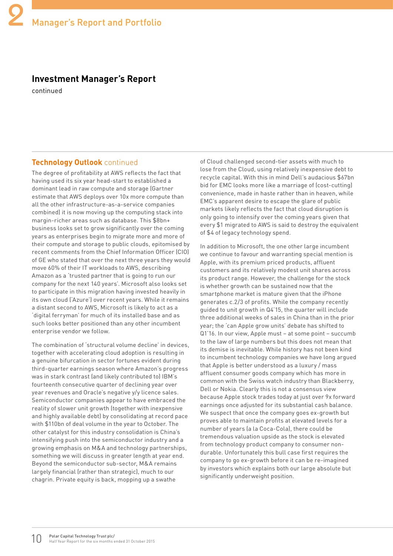## **Investment Manager's Report**

continued

#### **Technology Outlook** continued

The degree of profitability at AWS reflects the fact that having used its six year head-start to established a dominant lead in raw compute and storage (Gartner estimate that AWS deploys over 10x more compute than all the other infrastructure-as-a-service companies combined) it is now moving up the computing stack into margin-richer areas such as database. This \$8bn+ business looks set to grow significantly over the coming years as enterprises begin to migrate more and more of their compute and storage to public clouds, epitomised by recent comments from the Chief Information Officer (CIO) of GE who stated that over the next three years they would move 60% of their IT workloads to AWS, describing Amazon as a 'trusted partner that is going to run our company for the next 140 years'. Microsoft also looks set to participate in this migration having invested heavily in its own cloud ('Azure') over recent years. While it remains a distant second to AWS, Microsoft is likely to act as a 'digital ferryman' for much of its installed base and as such looks better positioned than any other incumbent enterprise vendor we follow.

The combination of 'structural volume decline' in devices, together with accelerating cloud adoption is resulting in a genuine bifurcation in sector fortunes evident during third-quarter earnings season where Amazon's progress was in stark contrast (and likely contributed to) IBM's fourteenth consecutive quarter of declining year over year revenues and Oracle's negative y/y licence sales. Semiconductor companies appear to have embraced the reality of slower unit growth (together with inexpensive and highly available debt) by consolidating at record pace with \$110bn of deal volume in the year to October. The other catalyst for this industry consolidation is China's intensifying push into the semiconductor industry and a growing emphasis on M&A and technology partnerships, something we will discuss in greater length at year end. Beyond the semiconductor sub-sector, M&A remains largely financial (rather than strategic), much to our chagrin. Private equity is back, mopping up a swathe

of Cloud challenged second-tier assets with much to lose from the Cloud, using relatively inexpensive debt to recycle capital. With this in mind Dell's audacious \$67bn bid for EMC looks more like a marriage of (cost-cutting) convenience, made in haste rather than in heaven, while EMC's apparent desire to escape the glare of public markets likely reflects the fact that cloud disruption is only going to intensify over the coming years given that every \$1 migrated to AWS is said to destroy the equivalent of \$4 of legacy technology spend.

In addition to Microsoft, the one other large incumbent we continue to favour and warranting special mention is Apple, with its premium priced products, affluent customers and its relatively modest unit shares across its product range. However, the challenge for the stock is whether growth can be sustained now that the smartphone market is mature given that the iPhone generates c.2/3 of profits. While the company recently guided to unit growth in Q4'15, the quarter will include three additional weeks of sales in China than in the prior year; the 'can Apple grow units' debate has shifted to Q1'16. In our view, Apple must – at some point – succumb to the law of large numbers but this does not mean that its demise is inevitable. While history has not been kind to incumbent technology companies we have long argued that Apple is better understood as a luxury / mass affluent consumer goods company which has more in common with the Swiss watch industry than Blackberry, Dell or Nokia. Clearly this is not a consensus view because Apple stock trades today at just over 9x forward earnings once adjusted for its substantial cash balance. We suspect that once the company goes ex-growth but proves able to maintain profits at elevated levels for a number of years (a la Coca-Cola), there could be tremendous valuation upside as the stock is elevated from technology product company to consumer nondurable. Unfortunately this bull case first requires the company to go ex-growth before it can be re-imagined by investors which explains both our large absolute but significantly underweight position.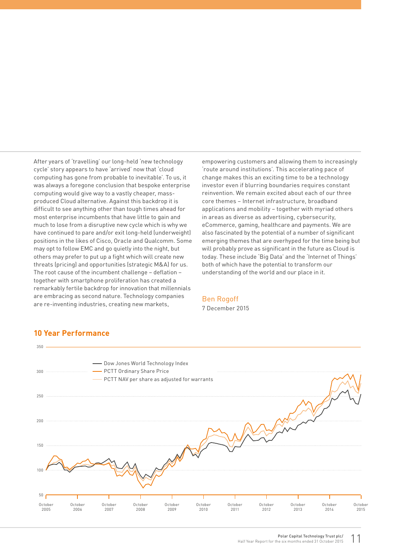After years of 'travelling' our long-held 'new technology cycle' story appears to have 'arrived' now that 'cloud computing has gone from probable to inevitable'. To us, it was always a foregone conclusion that bespoke enterprise computing would give way to a vastly cheaper, massproduced Cloud alternative. Against this backdrop it is difficult to see anything other than tough times ahead for most enterprise incumbents that have little to gain and much to lose from a disruptive new cycle which is why we have continued to pare and/or exit long-held (underweight) positions in the likes of Cisco, Oracle and Qualcomm. Some may opt to follow EMC and go quietly into the night, but others may prefer to put up a fight which will create new threats (pricing) and opportunities (strategic M&A) for us. The root cause of the incumbent challenge – deflation – together with smartphone proliferation has created a remarkably fertile backdrop for innovation that millennials are embracing as second nature. Technology companies are re-inventing industries, creating new markets,

empowering customers and allowing them to increasingly 'route around institutions'. This accelerating pace of change makes this an exciting time to be a technology investor even if blurring boundaries requires constant reinvention. We remain excited about each of our three core themes – Internet infrastructure, broadband applications and mobility – together with myriad others in areas as diverse as advertising, cybersecurity, eCommerce, gaming, healthcare and payments. We are also fascinated by the potential of a number of significant emerging themes that are overhyped for the time being but will probably prove as significant in the future as Cloud is today. These include 'Big Data' and the 'Internet of Things' both of which have the potential to transform our understanding of the world and our place in it.

#### Ben Rogoff

7 December 2015



#### **10 Year Performance**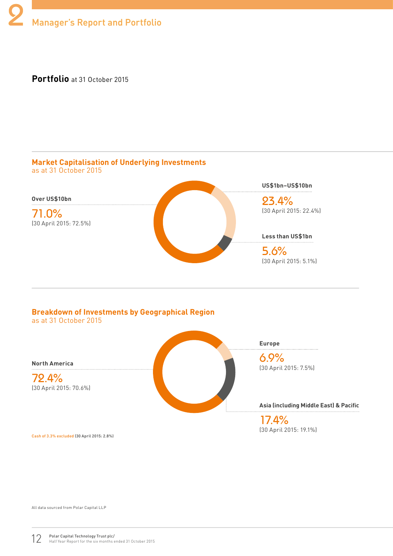**Portfolio** at 31 October 2015



#### **Breakdown of Investments by Geographical Region** as at 31 October 2015



Cash of 3.3% excluded (30 April 2015: 2.8%)

All data sourced from Polar Capital LLP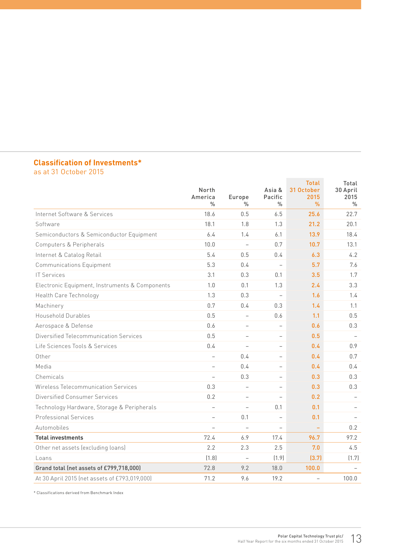## **Classification of Investments\***

as at 31 October 2015

|                                                | North<br>America<br>$\frac{0}{n}$ | Europe<br>%              | Asia &<br>Pacific<br>$\frac{0}{n}$ | <b>Total</b><br>31 October<br>2015<br>$\frac{9}{6}$ | Total<br>30 April<br>2015<br>$\frac{0}{n}$ |
|------------------------------------------------|-----------------------------------|--------------------------|------------------------------------|-----------------------------------------------------|--------------------------------------------|
| Internet Software & Services                   | 18.6                              | 0.5                      | 6.5                                | 25.6                                                | 22.7                                       |
| Software                                       | 18.1                              | 1.8                      | 1.3                                | 21.2                                                | 20.1                                       |
| Semiconductors & Semiconductor Equipment       | 6.4                               | 1.4                      | 6.1                                | 13.9                                                | 18.4                                       |
| Computers & Peripherals                        | 10.0                              | $\overline{a}$           | 0.7                                | 10.7                                                | 13.1                                       |
| Internet & Catalog Retail                      | 5.4                               | 0.5                      | 0.4                                | 6.3                                                 | 4.2                                        |
| <b>Communications Equipment</b>                | 5.3                               | 0.4                      | $\overline{\phantom{0}}$           | 5.7                                                 | 7.6                                        |
| <b>IT Services</b>                             | 3.1                               | 0.3                      | 0.1                                | 3.5                                                 | 1.7                                        |
| Electronic Equipment, Instruments & Components | 1.0                               | 0.1                      | 1.3                                | 2.4                                                 | 3.3                                        |
| Health Care Technology                         | 1.3                               | 0.3                      | $\overline{\phantom{0}}$           | 1.6                                                 | 1.4                                        |
| Machinery                                      | 0.7                               | 0.4                      | 0.3                                | 1.4                                                 | 1.1                                        |
| Household Durables                             | 0.5                               | $\overline{\phantom{0}}$ | 0.6                                | 1.1                                                 | 0.5                                        |
| Aerospace & Defense                            | 0.6                               | $\overline{\phantom{0}}$ | $\overline{\phantom{0}}$           | 0.6                                                 | 0.3                                        |
| Diversified Telecommunication Services         | 0.5                               |                          | $\overline{\phantom{0}}$           | 0.5                                                 |                                            |
| Life Sciences Tools & Services                 | 0.4                               | $\overline{\phantom{a}}$ | $\overline{\phantom{0}}$           | 0.4                                                 | 0.9                                        |
| Other                                          | $\overline{\phantom{0}}$          | 0.4                      | $\overline{a}$                     | 0.4                                                 | 0.7                                        |
| Media                                          | $\overline{\phantom{0}}$          | 0.4                      | $\overline{\phantom{0}}$           | 0.4                                                 | 0.4                                        |
| Chemicals                                      | $\overline{\phantom{0}}$          | 0.3                      | $\overline{\phantom{0}}$           | 0.3                                                 | 0.3                                        |
| Wireless Telecommunication Services            | 0.3                               | $\overline{\phantom{0}}$ | $\overline{\phantom{0}}$           | 0.3                                                 | 0.3                                        |
| Diversified Consumer Services                  | 0.2                               | $\overline{\phantom{0}}$ | $\overline{a}$                     | 0.2                                                 |                                            |
| Technology Hardware, Storage & Peripherals     | $\overline{\phantom{0}}$          | $\overline{\phantom{0}}$ | 0.1                                | 0.1                                                 |                                            |
| <b>Professional Services</b>                   | $\overline{\phantom{0}}$          | 0.1                      | $\overline{\phantom{0}}$           | 0.1                                                 |                                            |
| Automobiles                                    | $\overline{\phantom{0}}$          | $\overline{\phantom{0}}$ | $\overline{\phantom{0}}$           | $\equiv$                                            | 0.2                                        |
| <b>Total investments</b>                       | 72.4                              | 6.9                      | 17.4                               | 96.7                                                | 97.2                                       |
| Other net assets (excluding loans)             | 2.2                               | 2.3                      | 2.5                                | 7.0                                                 | 4.5                                        |
| L <sub>oans</sub>                              | (1.8)                             | $\overline{\phantom{a}}$ | (1.9)                              | (3.7)                                               | (1.7)                                      |
| Grand total (net assets of £799,718,000)       | 72.8                              | 9.2                      | 18.0                               | 100.0                                               |                                            |
| At 30 April 2015 (net assets of £793,019,000)  | 71.2                              | 9.6                      | 19.2                               | $\overline{\phantom{0}}$                            | 100.0                                      |

\* Classifications derived from Benchmark Index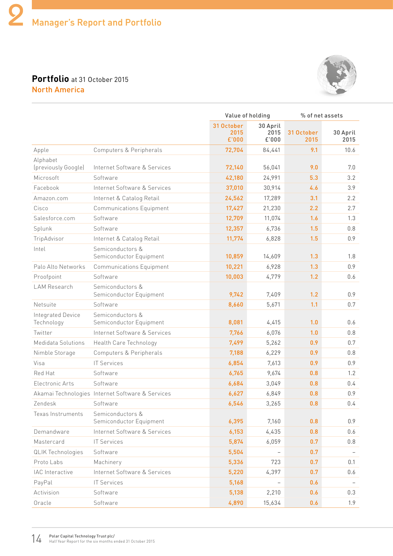## **Portfolio** at 31 October 2015 North America



|                                 |                                                  |                             | Value of holding          |                    | % of net assets  |  |
|---------------------------------|--------------------------------------------------|-----------------------------|---------------------------|--------------------|------------------|--|
|                                 |                                                  | 31 October<br>2015<br>£'000 | 30 April<br>2015<br>£'000 | 31 October<br>2015 | 30 April<br>2015 |  |
| Apple                           | Computers & Peripherals                          | 72,704                      | 84,441                    | 9.1                | 10.6             |  |
| Alphabet<br>(previously Google) | Internet Software & Services                     | 72,140                      | 56,041                    | 9.0                | 7.0              |  |
| Microsoft                       | Software                                         | 42,180                      | 24,991                    | 5.3                | 3.2              |  |
| Facebook                        | Internet Software & Services                     | 37,010                      | 30,914                    | 4.6                | 3.9              |  |
| Amazon.com                      | Internet & Catalog Retail                        | 24,562                      | 17,289                    | 3.1                | 2.2              |  |
| Cisco                           | <b>Communications Equipment</b>                  | 17,427                      | 21,230                    | 2.2                | 2.7              |  |
| Salesforce.com                  | Software                                         | 12,709                      | 11,074                    | 1.6                | 1.3              |  |
| Splunk                          | Software                                         | 12,357                      | 6,736                     | 1.5                | 0.8              |  |
| TripAdvisor                     | Internet & Catalog Retail                        | 11,774                      | 6,828                     | 1.5                | 0.9              |  |
| Intel                           | Semiconductors &<br>Semiconductor Equipment      | 10,859                      | 14,609                    | 1.3                | 1.8              |  |
| Palo Alto Networks              | <b>Communications Equipment</b>                  | 10,221                      | 6,928                     | 1.3                | 0.9              |  |
| Proofpoint                      | Software                                         | 10,003                      | 4,779                     | 1.2                | 0.6              |  |
| <b>LAM Research</b>             | Semiconductors &<br>Semiconductor Equipment      | 9,742                       | 7,409                     | 1.2                | 0.9              |  |
| Netsuite                        | Software                                         | 8,660                       | 5,671                     | 1.1                | 0.7              |  |
| Integrated Device<br>Technology | Semiconductors &<br>Semiconductor Equipment      | 8,081                       | 4,415                     | 1.0                | 0.6              |  |
| Twitter                         | Internet Software & Services                     | 7,766                       | 6,076                     | 1.0                | 0.8              |  |
| Medidata Solutions              | Health Care Technology                           | 7,499                       | 5,262                     | 0.9                | 0.7              |  |
| Nimble Storage                  | Computers & Peripherals                          | 7,188                       | 6,229                     | 0.9                | 0.8              |  |
| Visa                            | IT Services                                      | 6,854                       | 7,613                     | 0.9                | 0.9              |  |
| Red Hat                         | Software                                         | 6,765                       | 9,674                     | 0.8                | 1.2              |  |
| Electronic Arts                 | Software                                         | 6,684                       | 3,049                     | 0.8                | 0.4              |  |
|                                 | Akamai Technologies Internet Software & Services | 6,627                       | 6,849                     | 0.8                | 0.9              |  |
| Zendesk                         | Software                                         | 6,546                       | 3,265                     | 0.8                | 0.4              |  |
| Texas Instruments               | Semiconductors &<br>Semiconductor Equipment      | 6,395                       | 7,160                     | 0.8                | 0.9              |  |
| Demandware                      | Internet Software & Services                     | 6,153                       | 4,435                     | 0.8                | 0.6              |  |
| Mastercard                      | <b>IT Services</b>                               | 5,874                       | 6,059                     | 0.7                | 0.8              |  |
| <b>QLIK Technologies</b>        | Software                                         | 5,504                       |                           | 0.7                |                  |  |
| Proto Labs                      | Machinery                                        | 5,336                       | 723                       | 0.7                | 0.1              |  |
| IAC Interactive                 | Internet Software & Services                     | 5,220                       | 4,397                     | 0.7                | 0.6              |  |
| PayPal                          | <b>IT Services</b>                               | 5,168                       |                           | 0.6                |                  |  |
| Activision                      | Software                                         | 5,138                       | 2,210                     | 0.6                | 0.3              |  |
| Oracle                          | Software                                         | 4,890                       | 15,634                    | 0.6                | 1.9              |  |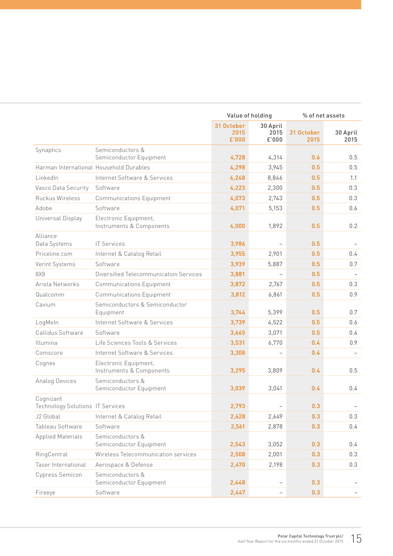|                                               |                                                   | Value of holding            |                           | % of net assets    |                          |
|-----------------------------------------------|---------------------------------------------------|-----------------------------|---------------------------|--------------------|--------------------------|
|                                               |                                                   | 31 October<br>2015<br>£'000 | 30 April<br>2015<br>£'000 | 31 October<br>2015 | 30 April<br>2015         |
| Synaptics                                     | Semiconductors &<br>Semiconductor Equipment       | 4,728                       | 4,314                     | 0.6                | 0.5                      |
| Harman International Household Durables       |                                                   | 4,298                       | 3,945                     | 0.5                | 0.5                      |
| LinkedIn                                      | Internet Software & Services                      | 4,248                       | 8,846                     | 0.5                | 1.1                      |
| Vasco Data Security                           | Software                                          | 4,223                       | 2,300                     | 0.5                | 0.3                      |
| Ruckus Wireless                               | <b>Communications Equipment</b>                   | 4,073                       | 2,743                     | 0.5                | 0.3                      |
| Adobe                                         | Software                                          | 4,071                       | 5,153                     | 0.5                | 0.6                      |
| Universal Display                             | Electronic Equipment,<br>Instruments & Components | 4,000                       | 1,892                     | 0.5                | 0.2                      |
| Alliance<br>Data Systems                      | <b>IT Services</b>                                | 3,986                       | $\qquad \qquad -$         | 0.5                |                          |
| Priceline.com                                 | Internet & Catalog Retail                         | 3,955                       | 2,901                     | 0.5                | $0.4^{\circ}$            |
| Verint Systems                                | Software                                          | 3,939                       | 5,887                     | 0.5                | 0.7                      |
| 8X8                                           | Diversified Telecommunication Services            | 3,881                       | $\overline{\phantom{0}}$  | 0.5                | $\overline{\phantom{0}}$ |
| Arista Networks                               | <b>Communications Equipment</b>                   | 3,872                       | 2,767                     | 0.5                | 0.3                      |
| Qualcomm                                      | <b>Communications Equipment</b>                   | 3,812                       | 6,861                     | 0.5                | 0.9                      |
| Cavium                                        | Semiconductors & Semiconductor<br>Equipment       | 3,744                       | 5,399                     | 0.5                | 0.7                      |
| LogMeln                                       | Internet Software & Services                      | 3,739                       | 4,522                     | 0.5                | 0.6                      |
| Callidus Software                             | Software                                          | 3,665                       | 3,071                     | 0.5                | 0.4                      |
| Illumina                                      | Life Sciences Tools & Services                    | 3,531                       | 6,770                     | 0.4                | 0.9                      |
| Comscore                                      | Internet Software & Services                      | 3,308                       |                           | 0.4                |                          |
| Cognex                                        | Electronic Equipment,<br>Instruments & Components | 3,295                       | 3,809                     | 0.4                | 0.5                      |
| Analog Devices                                | Semiconductors &<br>Semiconductor Equipment       | 3,039                       | 3,041                     | 0.4                | 0.4                      |
| Cognizant<br>Technology Solutions IT Services |                                                   | 2,793                       |                           | 0.3                | $\overline{\phantom{a}}$ |
| J2 Global                                     | Internet & Catalog Retail                         | 2,628                       | 2,649                     | 0.3                | 0.3                      |
| Tableau Software                              | Software                                          | 2,561                       | 2,878                     | 0.3                | 0.4                      |
| <b>Applied Materials</b>                      | Semiconductors &<br>Semiconductor Equipment       | 2,543                       | 3,052                     | 0.3                | 0.4                      |
| RingCentral                                   | Wireless Telecommunication services               | 2,508                       | 2,001                     | 0.3                | 0.3                      |
| Taser International                           | Aerospace & Defense                               | 2,470                       | 2,198                     | 0.3                | 0.3                      |
| Cypress Semicon                               | Semiconductors &<br>Semiconductor Equipment       | 2,448                       |                           | 0.3                |                          |
| Fireeye                                       | Software                                          | 2,447                       | $\overline{\phantom{a}}$  | 0.3                | $\overline{\phantom{m}}$ |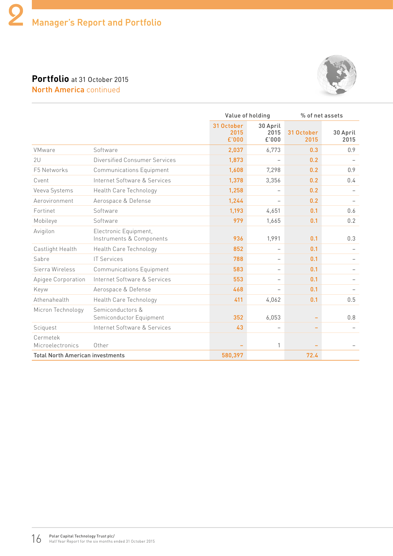## **Portfolio** at 31 October 2015 North America continued



|                                         |                                                   |                             | Value of holding          |                              | % of net assets  |
|-----------------------------------------|---------------------------------------------------|-----------------------------|---------------------------|------------------------------|------------------|
|                                         |                                                   | 31 October<br>2015<br>£'000 | 30 April<br>2015<br>£'000 | 31 October<br>2015           | 30 April<br>2015 |
| VMware                                  | Software                                          | 2,037                       | 6,773                     | 0.3                          | 0.9              |
| 2U                                      | Diversified Consumer Services                     | 1,873                       |                           | 0.2                          |                  |
| F5 Networks                             | <b>Communications Equipment</b>                   | 1,608                       | 7,298                     | 0.2                          | 0.9              |
| Cvent                                   | Internet Software & Services                      | 1,378                       | 3,356                     | 0.2                          | 0.4              |
| Veeva Systems                           | Health Care Technology                            | 1,258                       |                           | 0.2                          |                  |
| Aerovironment                           | Aerospace & Defense                               | 1,244                       | $\overline{\phantom{0}}$  | 0.2                          |                  |
| Fortinet                                | Software                                          | 1,193                       | 4,651                     | 0.1                          | 0.6              |
| Mobileye                                | Software                                          | 979                         | 1,665                     | 0.1                          | 0.2              |
| Avigilon                                | Electronic Equipment,<br>Instruments & Components | 936                         | 1,991                     | 0.1                          | 0.3              |
| Castlight Health                        | Health Care Technology                            | 852                         |                           | 0.1                          |                  |
| Sabre                                   | <b>IT Services</b>                                | 788                         | $\overline{\phantom{0}}$  | 0.1                          |                  |
| Sierra Wireless                         | <b>Communications Equipment</b>                   | 583                         |                           | 0.1                          |                  |
| Apigee Corporation                      | Internet Software & Services                      | 553                         |                           | 0.1                          |                  |
| Keyw                                    | Aerospace & Defense                               | 468                         |                           | 0.1                          |                  |
| Athenahealth                            | Health Care Technology                            | 411                         | 4,062                     | 0.1                          | 0.5              |
| Micron Technology                       | Semiconductors &<br>Semiconductor Equipment       | 352                         | 6,053                     | $\qquad \qquad \blacksquare$ | 0.8              |
| Sciquest                                | Internet Software & Services                      | 43                          | $\overline{\phantom{0}}$  | -                            |                  |
| Cermetek<br>Microelectronics            | Other                                             |                             | 1                         |                              |                  |
| <b>Total North American investments</b> |                                                   | 580,397                     |                           | 72.4                         |                  |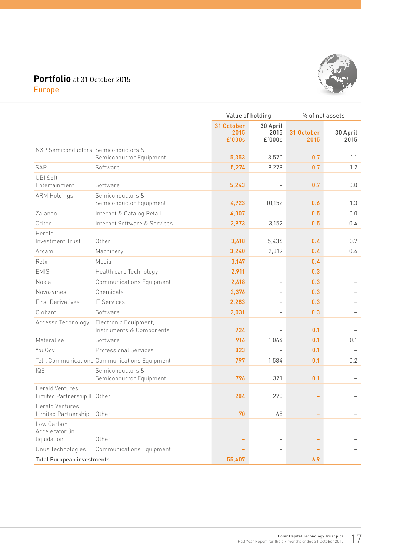## **Portfolio** at 31 October 2015 Europe



|                                                        |                                                   |                              | Value of holding           |                    | % of net assets  |  |  |
|--------------------------------------------------------|---------------------------------------------------|------------------------------|----------------------------|--------------------|------------------|--|--|
|                                                        |                                                   | 31 October<br>2015<br>£'000s | 30 April<br>2015<br>£'000s | 31 October<br>2015 | 30 April<br>2015 |  |  |
| NXP Semiconductors Semiconductors &                    |                                                   |                              |                            |                    |                  |  |  |
|                                                        | Semiconductor Equipment                           | 5,353                        | 8,570                      | 0.7                | 1.1              |  |  |
| SAP                                                    | Software                                          | 5,274                        | 9,278                      | 0.7                | 1.2              |  |  |
| <b>UBI Soft</b><br>Entertainment                       | Software                                          | 5,243                        | $\overline{\phantom{0}}$   | 0.7                | 0.0              |  |  |
| <b>ARM Holdings</b>                                    | Semiconductors &<br>Semiconductor Equipment       | 4,923                        | 10,152                     | 0.6                | 1.3              |  |  |
| Zalando                                                | Internet & Catalog Retail                         | 4,007                        | $\overline{a}$             | 0.5                | 0.0              |  |  |
| Criteo                                                 | Internet Software & Services                      | 3,973                        | 3,152                      | 0.5                | 0.4              |  |  |
| Herald<br>Investment Trust                             | Other                                             | 3,418                        | 5,436                      | 0.4                | 0.7              |  |  |
| Arcam                                                  | Machinery                                         | 3,240                        | 2,819                      | 0.4                | 0.4              |  |  |
| Relx                                                   | Media                                             | 3,147                        |                            | 0.4                |                  |  |  |
| <b>EMIS</b>                                            | Health care Technology                            | 2,911                        | $\overline{\phantom{0}}$   | 0.3                |                  |  |  |
| Nokia                                                  | <b>Communications Equipment</b>                   | 2,618                        | $\qquad \qquad -$          | 0.3                |                  |  |  |
| Novozymes                                              | Chemicals                                         | 2,376                        | $\qquad \qquad -$          | 0.3                |                  |  |  |
| <b>First Derivatives</b>                               | <b>IT Services</b>                                | 2,283                        | $\overline{\phantom{0}}$   | 0.3                |                  |  |  |
| Globant                                                | Software                                          | 2,031                        | $\overline{\phantom{0}}$   | 0.3                |                  |  |  |
| Accesso Technology                                     | Electronic Equipment,<br>Instruments & Components | 924                          | $\overline{a}$             | 0.1                |                  |  |  |
| Materalise                                             | Software                                          | 916                          | 1,064                      | 0.1                | 0.1              |  |  |
| YouGov                                                 | <b>Professional Services</b>                      | 823                          |                            | 0.1                |                  |  |  |
|                                                        | Telit Communications Communications Equipment     | 797                          | 1,584                      | 0.1                | 0.2              |  |  |
| IQE                                                    | Semiconductors &<br>Semiconductor Equipment       | 796                          | 371                        | 0.1                |                  |  |  |
| <b>Herald Ventures</b><br>Limited Partnership II Other |                                                   | 284                          | 270                        |                    |                  |  |  |
| Herald Ventures<br>Limited Partnership                 | Other                                             | 70                           | 68                         |                    |                  |  |  |
| Low Carbon<br>Accelerator (in<br>liquidation)          | Other                                             |                              | $\overline{\phantom{0}}$   |                    |                  |  |  |
| Unus Technologies                                      | <b>Communications Equipment</b>                   |                              | $\overline{\phantom{0}}$   |                    |                  |  |  |
| <b>Total European investments</b>                      |                                                   | 55,407                       |                            | 6.9                |                  |  |  |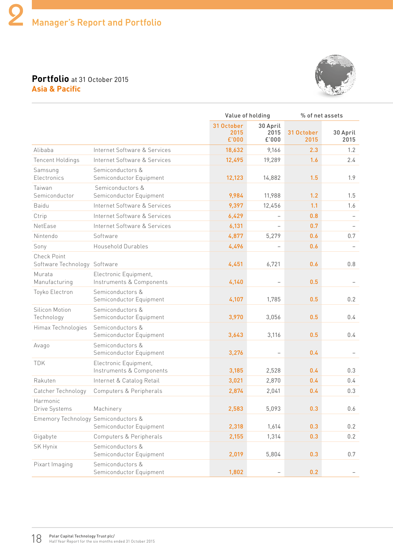#### **Portfolio** at 31 October 2015 **Asia & Pacific**



|                                                    |                                                   |                             | Value of holding          |                    | % of net assets          |  |
|----------------------------------------------------|---------------------------------------------------|-----------------------------|---------------------------|--------------------|--------------------------|--|
|                                                    |                                                   | 31 October<br>2015<br>£'000 | 30 April<br>2015<br>£'000 | 31 October<br>2015 | 30 April<br>2015         |  |
| Alibaba                                            | Internet Software & Services                      | 18,632                      | 9,166                     | 2.3                | 1.2                      |  |
| <b>Tencent Holdings</b>                            | Internet Software & Services                      | 12,495                      | 19,289                    | 1.6                | 2.4                      |  |
| Samsung<br>Electronics                             | Semiconductors &<br>Semiconductor Equipment       | 12,123                      | 14,882                    | 1.5                | 1.9                      |  |
| Taiwan<br>Semiconductor                            | Semiconductors &<br>Semiconductor Equipment       | 9,984                       | 11,988                    | 1.2                | 1.5                      |  |
| Baidu                                              | Internet Software & Services                      | 9,397                       | 12,456                    | 1.1                | 1.6                      |  |
| Ctrip                                              | Internet Software & Services                      | 6,429                       | $\qquad \qquad -$         | 0.8                | $\overline{\phantom{a}}$ |  |
| NetEase                                            | Internet Software & Services                      | 6,131                       | $\overline{\phantom{0}}$  | 0.7                |                          |  |
| Nintendo                                           | Software                                          | 4,877                       | 5,279                     | 0.6                | 0.7                      |  |
| Sony                                               | Household Durables                                | 4,496                       |                           | 0.6                |                          |  |
| <b>Check Point</b><br>Software Technology Software |                                                   | 4,451                       | 6,721                     | 0.6                | 0.8                      |  |
| Murata<br>Manufacturing                            | Electronic Equipment,<br>Instruments & Components | 4,140                       | $\qquad \qquad -$         | 0.5                |                          |  |
| Toyko Electron                                     | Semiconductors &<br>Semiconductor Equipment       | 4,107                       | 1,785                     | 0.5                | 0.2                      |  |
| Silicon Motion<br>Technology                       | Semiconductors &<br>Semiconductor Equipment       | 3,970                       | 3,056                     | 0.5                | 0.4                      |  |
| Himax Technologies                                 | Semiconductors &<br>Semiconductor Equipment       | 3,643                       | 3,116                     | 0.5                | 0.4                      |  |
| Avago                                              | Semiconductors &<br>Semiconductor Equipment       | 3,276                       | $\qquad \qquad -$         | 0.4                |                          |  |
| <b>TDK</b>                                         | Electronic Equipment,<br>Instruments & Components | 3,185                       | 2,528                     | 0.4                | 0.3                      |  |
| Rakuten                                            | Internet & Catalog Retail                         | 3,021                       | 2,870                     | 0.4                | $0.4^{\circ}$            |  |
| Catcher Technology                                 | Computers & Peripherals                           | 2,874                       | 2,041                     | 0.4                | 0.3                      |  |
| Harmonic<br>Drive Systems                          | Machinery                                         | 2,583                       | 5,093                     | 0.3                | 0.6                      |  |
| Ememory Technology Semiconductors &                | Semiconductor Equipment                           | 2,318                       | 1,614                     | 0.3                | 0.2                      |  |
| Gigabyte                                           | Computers & Peripherals                           | 2,155                       | 1,314                     | 0.3                | 0.2                      |  |
| SK Hynix                                           | Semiconductors &<br>Semiconductor Equipment       | 2,019                       | 5,804                     | 0.3                | 0.7                      |  |
| Pixart Imaging                                     | Semiconductors &<br>Semiconductor Equipment       | 1,802                       | $\qquad \qquad -$         | 0.2                |                          |  |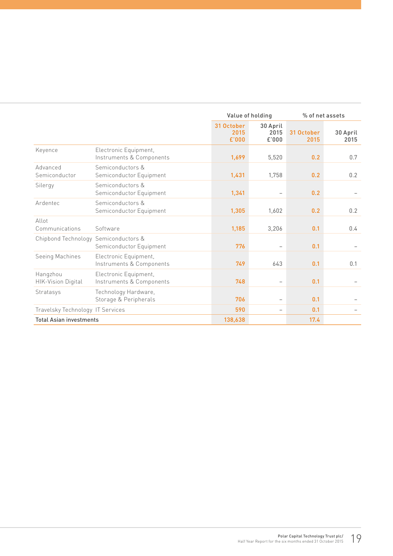|                                       |                                                   |                             | Value of holding          | % of net assets    |                  |  |
|---------------------------------------|---------------------------------------------------|-----------------------------|---------------------------|--------------------|------------------|--|
|                                       |                                                   | 31 October<br>2015<br>£'000 | 30 April<br>2015<br>£'000 | 31 October<br>2015 | 30 April<br>2015 |  |
| Keyence                               | Electronic Equipment,<br>Instruments & Components | 1,699                       | 5,520                     | 0.2                | 0.7              |  |
| Advanced<br>Semiconductor             | Semiconductors &<br>Semiconductor Equipment       | 1,431                       | 1,758                     | 0.2                | 0.2              |  |
| Silergy                               | Semiconductors &<br>Semiconductor Equipment       | 1,341                       |                           | 0.2                |                  |  |
| Ardentec                              | Semiconductors &<br>Semiconductor Equipment       | 1,305                       | 1,602                     | 0.2                | 0.2              |  |
| Allot<br>Communications               | Software                                          | 1,185                       | 3,206                     | 0.1                | 0.4              |  |
| Chipbond Technology Semiconductors &  | Semiconductor Equipment                           | 776                         |                           | 0.1                |                  |  |
| Seeing Machines                       | Electronic Equipment,<br>Instruments & Components | 749                         | 643                       | 0.1                | 0.1              |  |
| Hangzhou<br><b>HIK-Vision Digital</b> | Electronic Equipment,<br>Instruments & Components | 748                         | $\overline{\phantom{0}}$  | 0.1                |                  |  |
| Stratasys                             | Technology Hardware,<br>Storage & Peripherals     | 706                         |                           | 0.1                |                  |  |
| Travelsky Technology IT Services      |                                                   | 590                         |                           | 0.1                |                  |  |
| <b>Total Asian investments</b>        |                                                   | 138,638                     |                           | 17.4               |                  |  |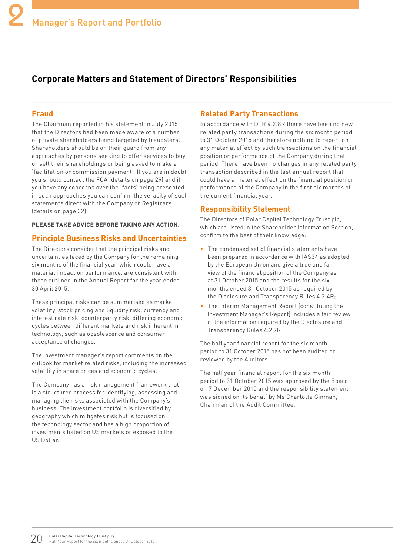## **Corporate Matters and Statement of Directors' Responsibilities**

#### **Fraud**

The Chairman reported in his statement in July 2015 that the Directors had been made aware of a number of private shareholders being targeted by fraudsters. Shareholders should be on their guard from any approaches by persons seeking to offer services to buy or sell their shareholdings or being asked to make a 'facilitation or commission payment'. If you are in doubt you should contact the FCA (details on page 29) and if you have any concerns over the 'facts' being presented in such approaches you can confirm the veracity of such statements direct with the Company or Registrars (details on page 32).

#### **PLEASE TAKE ADVICE BEFORE TAKING ANY ACTION.**

#### **Principle Business Risks and Uncertainties**

The Directors consider that the principal risks and uncertainties faced by the Company for the remaining six months of the financial year, which could have a material impact on performance, are consistent with those outlined in the Annual Report for the year ended 30 April 2015.

These principal risks can be summarised as market volatility, stock pricing and liquidity risk, currency and interest rate risk, counterparty risk, differing economic cycles between different markets and risk inherent in technology, such as obsolescence and consumer acceptance of changes.

The investment manager's report comments on the outlook for market related risks, including the increased volatility in share prices and economic cycles.

The Company has a risk management framework that is a structured process for identifying, assessing and managing the risks associated with the Company's business. The investment portfolio is diversified by geography which mitigates risk but is focused on the technology sector and has a high proportion of investments listed on US markets or exposed to the US Dollar.

#### **Related Party Transactions**

In accordance with DTR 4.2.8R there have been no new related party transactions during the six month period to 31 October 2015 and therefore nothing to report on any material effect by such transactions on the financial position or performance of the Company during that period. There have been no changes in any related party transaction described in the last annual report that could have a material effect on the financial position or performance of the Company in the first six months of the current financial year.

#### **Responsibility Statement**

The Directors of Polar Capital Technology Trust plc, which are listed in the Shareholder Information Section, confirm to the best of their knowledge:

- The condensed set of financial statements have been prepared in accordance with IAS34 as adopted by the European Union and give a true and fair view of the financial position of the Company as at 31 October 2015 and the results for the six months ended 31 October 2015 as required by the Disclosure and Transparency Rules 4.2.4R;
- The Interim Management Report (constituting the Investment Manager's Report) includes a fair review of the information required by the Disclosure and Transparency Rules 4.2.7R.

The half year financial report for the six month period to 31 October 2015 has not been audited or reviewed by the Auditors.

The half year financial report for the six month period to 31 October 2015 was approved by the Board on 7 December 2015 and the responsibility statement was signed on its behalf by Ms Charlotta Ginman, Chairman of the Audit Committee.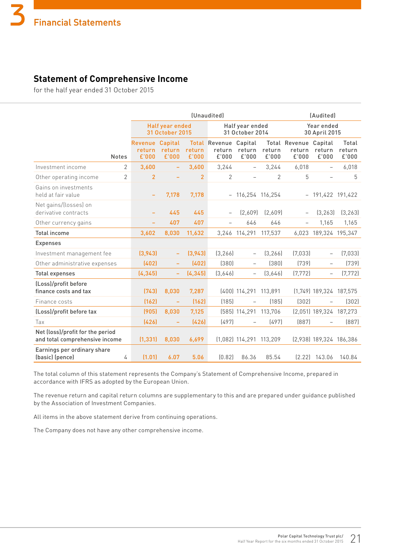## **Statement of Comprehensive Income**

for the half year ended 31 October 2015

|                                                                    |                |                            | <i>(Unaudited)</i>                 |                 |                                         |                                    | (Audited)       |                                  |                             |                          |  |
|--------------------------------------------------------------------|----------------|----------------------------|------------------------------------|-----------------|-----------------------------------------|------------------------------------|-----------------|----------------------------------|-----------------------------|--------------------------|--|
|                                                                    |                |                            | Half year ended<br>31 October 2015 |                 |                                         | Half year ended<br>31 October 2014 |                 |                                  | Year ended<br>30 April 2015 |                          |  |
|                                                                    | <b>Notes</b>   | Revenue<br>return<br>£'000 | Capital<br>return<br>£'000         | return<br>£'000 | <b>Total Revenue</b><br>return<br>£'000 | Capital<br>return<br>£'000         | return<br>£'000 | Total Revenue<br>return<br>£'000 | Capital<br>return<br>£'000  | Total<br>return<br>£'000 |  |
| Investment income                                                  | $\overline{2}$ | 3,600                      | ÷                                  | 3,600           | 3,244                                   | $\qquad \qquad -$                  | 3,244           | 6,018                            | $\overline{\phantom{0}}$    | 6,018                    |  |
| Other operating income                                             | $\overline{2}$ | $\overline{2}$             | ÷                                  | $\overline{2}$  | 2                                       | $\overline{\phantom{0}}$           | $\overline{2}$  | 5                                | $\overline{\phantom{0}}$    | 5                        |  |
| Gains on investments<br>held at fair value                         |                |                            | 7,178                              | 7,178           |                                         | $-116,254$ 116,254                 |                 |                                  | $-191,422$ 191,422          |                          |  |
| Net gains/(losses) on<br>derivative contracts                      |                |                            | 445                                | 445             |                                         | [2.609]                            | [2.609]         |                                  | (3, 263)                    | (3, 263)                 |  |
| Other currency gains                                               |                |                            | 407                                | 407             |                                         | 646                                | 646             |                                  | 1,165                       | 1,165                    |  |
| <b>Total income</b>                                                |                | 3,602                      | 8,030                              | 11,632          |                                         | 3,246 114,291                      | 117,537         |                                  | 6,023 189,324 195,347       |                          |  |
| <b>Expenses</b>                                                    |                |                            |                                    |                 |                                         |                                    |                 |                                  |                             |                          |  |
| Investment management fee                                          |                | (3,943)                    |                                    | (3,943)         | (3, 266)                                | $\qquad \qquad -$                  | [3, 266]        | (7,033)                          | $\overline{\phantom{0}}$    | (7,033)                  |  |
| Other administrative expenses                                      |                | (402)                      |                                    | (402)           | (380)                                   | $\overline{\phantom{0}}$           | (380)           | (739)                            | $\overline{\phantom{0}}$    | (739)                    |  |
| <b>Total expenses</b>                                              |                | (4, 345)                   | ÷                                  | (4, 345)        | (3,646)                                 | $\qquad \qquad -$                  | (3,646)         | (7, 772)                         | $\overline{\phantom{0}}$    | (7, 772)                 |  |
| (Loss)/profit before<br>finance costs and tax                      |                | [743]                      | 8,030                              | 7,287           |                                         | (400) 114,291 113,891              |                 |                                  | $(1,749)$ 189,324 187,575   |                          |  |
| Finance costs                                                      |                | [162]                      |                                    | [162]           | (185)                                   |                                    | (185)           | (302)                            |                             | (302)                    |  |
| (Loss)/profit before tax                                           |                | (905)                      | 8,030                              | 7,125           |                                         | (585) 114,291 113,706              |                 |                                  | (2,051) 189,324 187,273     |                          |  |
| Tax                                                                |                | [426]                      |                                    | [426]           | (497)                                   |                                    | (497)           | (887)                            |                             | (887)                    |  |
| Net (loss)/profit for the period<br>and total comprehensive income |                | (1, 331)                   | 8,030                              | 6,699           |                                         | $(1,082)$ 114,291 113,209          |                 |                                  | $(2,938)$ 189,324 186,386   |                          |  |
| Earnings per ordinary share<br>(basic) (pence)                     | 4              | (1.01)                     | 6.07                               | 5.06            | [0.82]                                  | 86.36                              | 85.54           |                                  | $(2.22)$ 143.06             | 140.84                   |  |

The total column of this statement represents the Company's Statement of Comprehensive Income, prepared in accordance with IFRS as adopted by the European Union.

The revenue return and capital return columns are supplementary to this and are prepared under guidance published by the Association of Investment Companies.

All items in the above statement derive from continuing operations.

The Company does not have any other comprehensive income.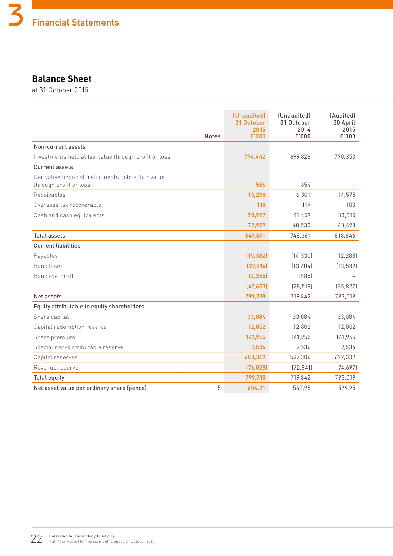## **Balance Sheet**

at 31 October 2015

|                                                                               | <b>Notes</b> | (Unaudited)<br>31 October<br>2015<br>£'000 | (Unaudited)<br>31 October<br>2014<br>£'000 | (Audited)<br>30 April<br>2015<br>£'000 |
|-------------------------------------------------------------------------------|--------------|--------------------------------------------|--------------------------------------------|----------------------------------------|
| Non-current assets                                                            |              |                                            |                                            |                                        |
| Investments held at fair value through profit or loss                         |              | 774,442                                    | 699,828                                    | 770,353                                |
| <b>Current assets</b>                                                         |              |                                            |                                            |                                        |
| Derivative financial instruments held at fair value<br>through profit or loss |              | 586                                        | 654                                        |                                        |
| Receivables                                                                   |              | 13,298                                     | 6,301                                      | 14,575                                 |
| Overseas tax recoverable                                                      |              | 118                                        | 119                                        | 103                                    |
| Cash and cash equivalents                                                     |              | 58,927                                     | 41,459                                     | 33,815                                 |
|                                                                               |              | 72,929                                     | 48,533                                     | 48,493                                 |
| <b>Total assets</b>                                                           |              | 847,371                                    | 748,361                                    | 818,846                                |
| <b>Current liabilities</b>                                                    |              |                                            |                                            |                                        |
| Payables                                                                      |              | (15, 382)                                  | (14, 330)                                  | (12, 288)                              |
| Bank loans                                                                    |              | (29, 916)                                  | (13,604)                                   | (13, 539)                              |
| Bank overdraft                                                                |              | (2, 355)                                   | (585)                                      |                                        |
|                                                                               |              | (47, 653)                                  | (28, 519)                                  | (25, 827)                              |
| Net assets                                                                    |              | 799,718                                    | 719,842                                    | 793,019                                |
| Equity attributable to equity shareholders                                    |              |                                            |                                            |                                        |
| Share capital                                                                 |              | 33,084                                     | 33,084                                     | 33,084                                 |
| Capital redemption reserve                                                    |              | 12,802                                     | 12,802                                     | 12,802                                 |
| Share premium                                                                 |              | 141,955                                    | 141,955                                    | 141,955                                |
| Special non-distributable reserve                                             |              | 7,536                                      | 7,536                                      | 7,536                                  |
| Capital reserves                                                              |              | 680,369                                    | 597,306                                    | 672,339                                |
| Revenue reserve                                                               |              | (76, 028)                                  | (72, 841)                                  | (74, 697)                              |
| <b>Total equity</b>                                                           |              | 799,718                                    | 719,842                                    | 793,019                                |
| Net asset value per ordinary share (pence)                                    | 5            | 604.31                                     | 543.95                                     | 599.25                                 |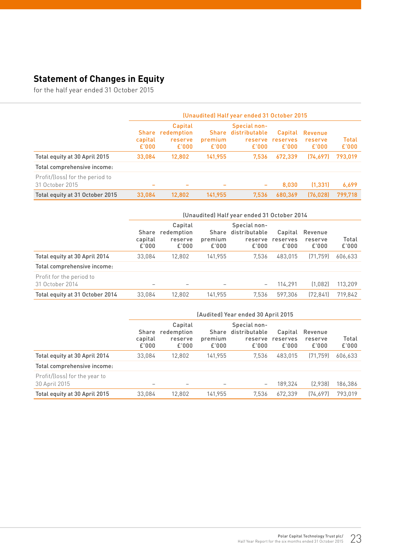## **Statement of Changes in Equity**

for the half year ended 31 October 2015

|                                                    | (Unaudited) Half year ended 31 October 2015 |                                           |                                  |                                                   |                              |                             |                       |
|----------------------------------------------------|---------------------------------------------|-------------------------------------------|----------------------------------|---------------------------------------------------|------------------------------|-----------------------------|-----------------------|
|                                                    | <b>Share</b><br>capital<br>E'000            | Capital<br>redemption<br>reserve<br>£'000 | <b>Share</b><br>premium<br>E'000 | Special non-<br>distributable<br>reserve<br>£'000 | Capital<br>reserves<br>E'000 | Revenue<br>reserve<br>£'000 | <b>Total</b><br>E'000 |
| Total equity at 30 April 2015                      | 33,084                                      | 12,802                                    | 141,955                          | 7.536                                             | 672,339                      | (74.697)                    | 793,019               |
| Total comprehensive income:                        |                                             |                                           |                                  |                                                   |                              |                             |                       |
| Profit/(loss) for the period to<br>31 October 2015 | -                                           |                                           | -                                | -                                                 | 8,030                        | (1, 331)                    | 6,699                 |
| Total equity at 31 October 2015                    | 33,084                                      | 12,802                                    | 141.955                          | 7,536                                             | 680.369                      | (76.028)                    | 799.718               |

|                                             | (Unaudited) Half year ended 31 October 2014 |                                           |                           |                                                   |                              |                             |                |
|---------------------------------------------|---------------------------------------------|-------------------------------------------|---------------------------|---------------------------------------------------|------------------------------|-----------------------------|----------------|
|                                             | Share<br>capital<br>£'000                   | Capital<br>redemption<br>reserve<br>£'000 | Share<br>premium<br>£'000 | Special non-<br>distributable<br>reserve<br>£'000 | Capital<br>reserves<br>£'000 | Revenue<br>reserve<br>£'000 | Total<br>£'000 |
| Total equity at 30 April 2014               | 33.084                                      | 12.802                                    | 141.955                   | 7.536                                             | 483.015                      | (71.759)                    | 606,633        |
| Total comprehensive income:                 |                                             |                                           |                           |                                                   |                              |                             |                |
| Profit for the period to<br>31 October 2014 | $\overline{\phantom{0}}$                    |                                           |                           | $\qquad \qquad -$                                 | 114.291                      | (1.082)                     | 113,209        |
| Total equity at 31 October 2014             | 33,084                                      | 12,802                                    | 141.955                   | 7,536                                             | 597.306                      | (72, 841)                   | 719,842        |

|                                                | (Audited) Year ended 30 April 2015 |                                           |                           |                                                   |                              |                             |                |
|------------------------------------------------|------------------------------------|-------------------------------------------|---------------------------|---------------------------------------------------|------------------------------|-----------------------------|----------------|
|                                                | Share<br>capital<br>£'000          | Capital<br>redemption<br>reserve<br>£'000 | Share<br>premium<br>£'000 | Special non-<br>distributable<br>reserve<br>£'000 | Capital<br>reserves<br>£'000 | Revenue<br>reserve<br>£'000 | Total<br>£'000 |
| Total equity at 30 April 2014                  | 33.084                             | 12.802                                    | 141.955                   | 7.536                                             | 483.015                      | (71.759)                    | 606,633        |
| Total comprehensive income:                    |                                    |                                           |                           |                                                   |                              |                             |                |
| Profit/(loss) for the year to<br>30 April 2015 |                                    |                                           |                           | $\qquad \qquad -$                                 | 189.324                      | (2,938)                     | 186,386        |
| Total equity at 30 April 2015                  | 33,084                             | 12,802                                    | 141.955                   | 7.536                                             | 672.339                      | [74.697]                    | 793.019        |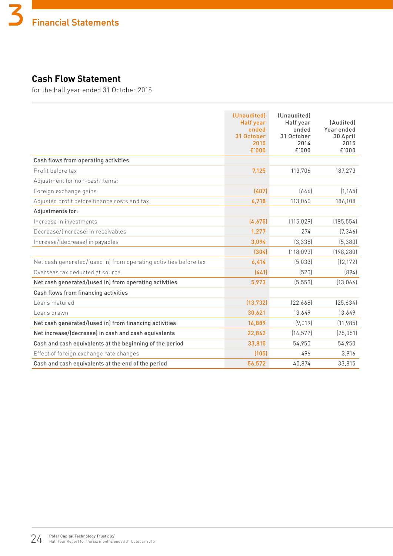## **Cash Flow Statement**

for the half year ended 31 October 2015

|                                                                   | (Unaudited)<br><b>Half year</b><br>ended<br>31 October<br>2015<br>£'000 | (Unaudited)<br>Half year<br>ended<br>31 October<br>2014<br>£'000 | [Audited]<br>Year ended<br>30 April<br>2015<br>£'000 |
|-------------------------------------------------------------------|-------------------------------------------------------------------------|------------------------------------------------------------------|------------------------------------------------------|
| Cash flows from operating activities                              |                                                                         |                                                                  |                                                      |
| Profit before tax                                                 | 7,125                                                                   | 113,706                                                          | 187,273                                              |
| Adjustment for non-cash items:                                    |                                                                         |                                                                  |                                                      |
| Foreign exchange gains                                            | (407)                                                                   | [646]                                                            | (1, 165)                                             |
| Adjusted profit before finance costs and tax                      | 6,718                                                                   | 113,060                                                          | 186,108                                              |
| Adjustments for:                                                  |                                                                         |                                                                  |                                                      |
| Increase in investments                                           | (4,675)                                                                 | (115, 029)                                                       | (185, 554)                                           |
| Decrease/(increase) in receivables                                | 1,277                                                                   | 274                                                              | (7, 346)                                             |
| Increase/(decrease) in payables                                   | 3,094                                                                   | (3, 338)                                                         | (5, 380)                                             |
|                                                                   | (304)                                                                   | (118, 093)                                                       | (198, 280)                                           |
| Net cash generated/(used in) from operating activities before tax | 6,414                                                                   | (5,033)                                                          | (12, 172)                                            |
| Overseas tax deducted at source                                   | (441)                                                                   | (520)                                                            | (894)                                                |
| Net cash generated/(used in) from operating activities            | 5,973                                                                   | (5, 553)                                                         | (13,066)                                             |
| Cash flows from financing activities                              |                                                                         |                                                                  |                                                      |
| Loans matured                                                     | (13, 732)                                                               | [22,668]                                                         | (25,634)                                             |
| Loans drawn                                                       | 30,621                                                                  | 13,649                                                           | 13,649                                               |
| Net cash generated/(used in) from financing activities            | 16,889                                                                  | (9,019)                                                          | (11, 985)                                            |
| Net increase/(decrease) in cash and cash equivalents              | 22,862                                                                  | (14, 572)                                                        | (25, 051)                                            |
| Cash and cash equivalents at the beginning of the period          | 33,815                                                                  | 54,950                                                           | 54,950                                               |
| Effect of foreign exchange rate changes                           | (105)                                                                   | 496                                                              | 3,916                                                |
| Cash and cash equivalents at the end of the period                | 56,572                                                                  | 40,874                                                           | 33,815                                               |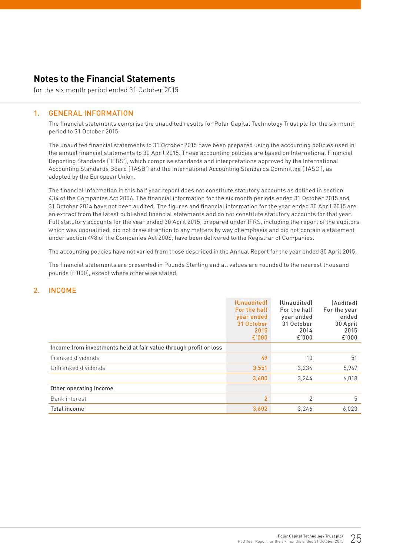## **Notes to the Financial Statements**

for the six month period ended 31 October 2015

#### 1. GENERAL INFORMATION

The financial statements comprise the unaudited results for Polar Capital Technology Trust plc for the six month period to 31 October 2015.

The unaudited financial statements to 31 October 2015 have been prepared using the accounting policies used in the annual financial statements to 30 April 2015. These accounting policies are based on International Financial Reporting Standards ('IFRS'), which comprise standards and interpretations approved by the International Accounting Standards Board ('IASB') and the International Accounting Standards Committee ('IASC'), as adopted by the European Union.

The financial information in this half year report does not constitute statutory accounts as defined in section 434 of the Companies Act 2006. The financial information for the six month periods ended 31 October 2015 and 31 October 2014 have not been audited. The figures and financial information for the year ended 30 April 2015 are an extract from the latest published financial statements and do not constitute statutory accounts for that year. Full statutory accounts for the year ended 30 April 2015, prepared under IFRS, including the report of the auditors which was unqualified, did not draw attention to any matters by way of emphasis and did not contain a statement under section 498 of the Companies Act 2006, have been delivered to the Registrar of Companies.

The accounting policies have not varied from those described in the Annual Report for the year ended 30 April 2015.

The financial statements are presented in Pounds Sterling and all values are rounded to the nearest thousand pounds (£'000), except where otherwise stated.

#### 2. INCOME

|                                                                   | (Unaudited)<br>For the half<br>year ended<br>31 October<br>2015<br>£'000 | (Unaudited)<br>For the half<br>year ended<br>31 October<br>2014<br>£'000 | (Audited)<br>For the year<br>ended<br>30 April<br>2015<br>£'000 |
|-------------------------------------------------------------------|--------------------------------------------------------------------------|--------------------------------------------------------------------------|-----------------------------------------------------------------|
| Income from investments held at fair value through profit or loss |                                                                          |                                                                          |                                                                 |
| Franked dividends                                                 | 49                                                                       | 10                                                                       | 51                                                              |
| Unfranked dividends                                               | 3,551                                                                    | 3,234                                                                    | 5,967                                                           |
|                                                                   | 3,600                                                                    | 3.244                                                                    | 6,018                                                           |
| Other operating income                                            |                                                                          |                                                                          |                                                                 |
| <b>Bank</b> interest                                              | $\overline{2}$                                                           | 2                                                                        | 5                                                               |
| <b>Total income</b>                                               | 3.602                                                                    | 3.246                                                                    | 6.023                                                           |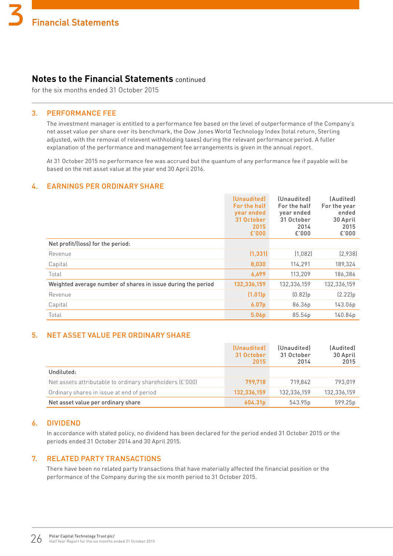## **Notes to the Financial Statements** continued

for the six months ended 31 October 2015

#### 3. PERFORMANCE FEE

The investment manager is entitled to a performance fee based on the level of outperformance of the Company's net asset value per share over its benchmark, the Dow Jones World Technology Index (total return, Sterling adjusted, with the removal of relevent withholding taxes) during the relevant performance period. A fuller explanation of the performance and management fee arrangements is given in the annual report.

At 31 October 2015 no performance fee was accrued but the quantum of any performance fee if payable will be based on the net asset value at the year end 30 April 2016.

#### 4. EARNINGS PER ORDINARY SHARE

|                                                              | (Unaudited)<br>For the half<br>year ended<br>31 October<br>2015<br>E'000 | (Unaudited)<br>For the half<br>year ended<br>31 October<br>2014<br>£'000 | (Audited)<br>For the year<br>ended<br>30 April<br>2015<br>£'000 |
|--------------------------------------------------------------|--------------------------------------------------------------------------|--------------------------------------------------------------------------|-----------------------------------------------------------------|
| Net profit/(loss) for the period:                            |                                                                          |                                                                          |                                                                 |
| Revenue                                                      | (1, 331)                                                                 | (1,082)                                                                  | (2,938)                                                         |
| Capital                                                      | 8,030                                                                    | 114,291                                                                  | 189,324                                                         |
| Total                                                        | 6,699                                                                    | 113,209                                                                  | 186,386                                                         |
| Weighted average number of shares in issue during the period | 132,336,159                                                              | 132,336,159                                                              | 132,336,159                                                     |
| Revenue                                                      | (1.01)p                                                                  | (0.82]p                                                                  | (2.22)p                                                         |
| Capital                                                      | 6.07 <sub>p</sub>                                                        | 86.36p                                                                   | 143.06p                                                         |
| Total                                                        | 5.06 <sub>p</sub>                                                        | 85.54p                                                                   | 140.84p                                                         |

#### 5. NET ASSET VALUE PER ORDINARY SHARE

|                                                          | (Unaudited)<br>31 October<br>2015 | (Unaudited)<br>31 October<br>2014 | (Audited)<br>30 April<br>2015 |
|----------------------------------------------------------|-----------------------------------|-----------------------------------|-------------------------------|
| Undiluted:                                               |                                   |                                   |                               |
| Net assets attributable to ordinary shareholders (£'000) | 799,718                           | 719.842                           | 793.019                       |
| Ordinary shares in issue at end of period                | 132,336,159                       | 132,336,159                       | 132,336,159                   |
| Net asset value per ordinary share                       | 604.31p                           | 543.95p                           | 599.25p                       |

#### 6. DIVIDEND

In accordance with stated policy, no dividend has been declared for the period ended 31 October 2015 or the periods ended 31 October 2014 and 30 April 2015.

#### 7. RELATED PARTY TRANSACTIONS

There have been no related party transactions that have materially affected the financial position or the performance of the Company during the six month period to 31 October 2015.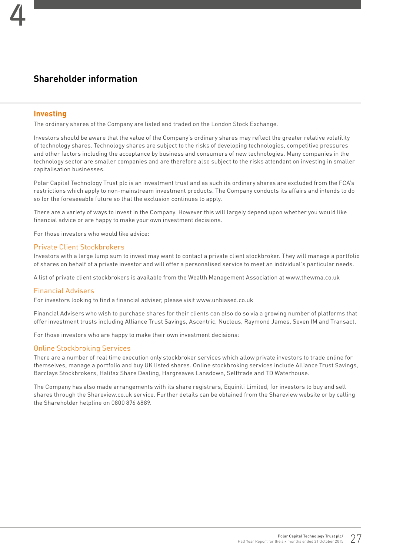## **Shareholder information**

#### **Investing**

The ordinary shares of the Company are listed and traded on the London Stock Exchange.

Investors should be aware that the value of the Company's ordinary shares may reflect the greater relative volatility of technology shares. Technology shares are subject to the risks of developing technologies, competitive pressures and other factors including the acceptance by business and consumers of new technologies. Many companies in the technology sector are smaller companies and are therefore also subject to the risks attendant on investing in smaller capitalisation businesses.

Polar Capital Technology Trust plc is an investment trust and as such its ordinary shares are excluded from the FCA's restrictions which apply to non-mainstream investment products. The Company conducts its affairs and intends to do so for the foreseeable future so that the exclusion continues to apply.

There are a variety of ways to invest in the Company. However this will largely depend upon whether you would like financial advice or are happy to make your own investment decisions.

For those investors who would like advice:

#### Private Client Stockbrokers

Investors with a large lump sum to invest may want to contact a private client stockbroker. They will manage a portfolio of shares on behalf of a private investor and will offer a personalised service to meet an individual's particular needs.

A list of private client stockbrokers is available from the Wealth Management Association at www.thewma.co.uk

#### Financial Advisers

For investors looking to find a financial adviser, please visit www.unbiased.co.uk

Financial Advisers who wish to purchase shares for their clients can also do so via a growing number of platforms that offer investment trusts including Alliance Trust Savings, Ascentric, Nucleus, Raymond James, Seven IM and Transact.

For those investors who are happy to make their own investment decisions:

#### Online Stockbroking Services

There are a number of real time execution only stockbroker services which allow private investors to trade online for themselves, manage a portfolio and buy UK listed shares. Online stockbroking services include Alliance Trust Savings, Barclays Stockbrokers, Halifax Share Dealing, Hargreaves Lansdown, Selftrade and TD Waterhouse.

The Company has also made arrangements with its share registrars, Equiniti Limited, for investors to buy and sell shares through the Shareview.co.uk service. Further details can be obtained from the Shareview website or by calling the Shareholder helpline on 0800 876 6889.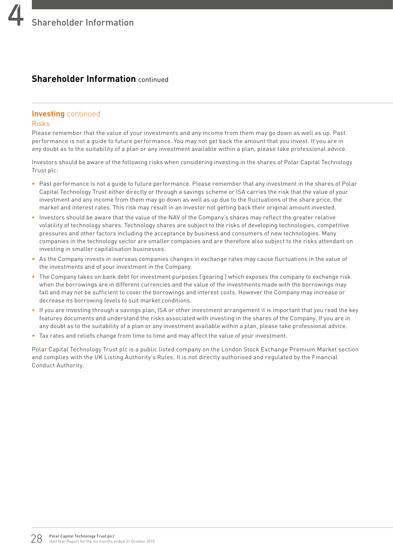## **Shareholder Information** continued

## **Investing** continued

#### Risks

Please remember that the value of your investments and any income from them may go down as well as up. Past performance is not a guide to future performance. You may not get back the amount that you invest. If you are in any doubt as to the suitability of a plan or any investment available within a plan, please take professional advice.

Investors should be aware of the following risks when considering investing in the shares of Polar Capital Technology Trust plc:

- Past performance is not a guide to future performance. Please remember that any investment in the shares of Polar Capital Technology Trust either directly or through a savings scheme or ISA carries the risk that the value of your investment and any income from them may go down as well as up due to the fluctuations of the share price, the market and interest rates. This risk may result in an investor not getting back their original amount invested.
- Investors should be aware that the value of the NAV of the Company's shares may reflect the greater relative volatility of technology shares. Technology shares are subject to the risks of developing technologies, competitive pressures and other factors including the acceptance by business and consumers of new technologies. Many companies in the technology sector are smaller companies and are therefore also subject to the risks attendant on investing in smaller capitalisation businesses.
- As the Company invests in overseas companies changes in exchange rates may cause fluctuations in the value of the investments and of your investment in the Company.
- The Company takes on bank debt for investment purposes ('gearing') which exposes the company to exchange risk when the borrowings are in different currencies and the value of the investments made with the borrowings may fall and may not be sufficient to cover the borrowings and interest costs. However the Company may increase or decrease its borrowing levels to suit market conditions.
- If you are investing through a savings plan, ISA or other investment arrangement it is important that you read the key features documents and understand the risks associated with investing in the shares of the Company. If you are in any doubt as to the suitability of a plan or any investment available within a plan, please take professional advice.
- Tax rates and reliefs change from time to time and may affect the value of your investment.

Polar Capital Technology Trust plc is a public listed company on the London Stock Exchange Premium Market section and complies with the UK Listing Authority's Rules. It is not directly authorised and regulated by the Financial Conduct Authority.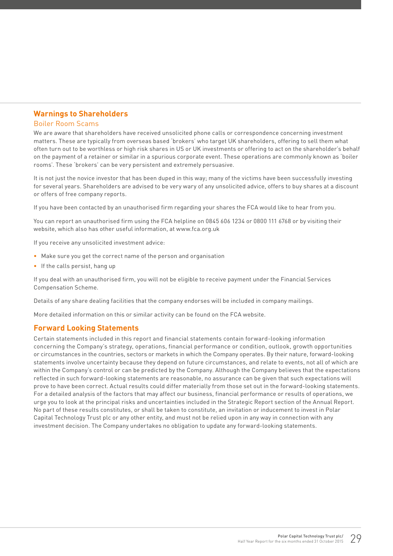#### **Warnings to Shareholders**

#### Boiler Room Scams

We are aware that shareholders have received unsolicited phone calls or correspondence concerning investment matters. These are typically from overseas based 'brokers' who target UK shareholders, offering to sell them what often turn out to be worthless or high risk shares in US or UK investments or offering to act on the shareholder's behalf on the payment of a retainer or similar in a spurious corporate event. These operations are commonly known as 'boiler rooms'. These 'brokers' can be very persistent and extremely persuasive.

It is not just the novice investor that has been duped in this way; many of the victims have been successfully investing for several years. Shareholders are advised to be very wary of any unsolicited advice, offers to buy shares at a discount or offers of free company reports.

If you have been contacted by an unauthorised firm regarding your shares the FCA would like to hear from you.

You can report an unauthorised firm using the FCA helpline on 0845 606 1234 or 0800 111 6768 or by visiting their website, which also has other useful information, at www.fca.org.uk

If you receive any unsolicited investment advice:

- Make sure you get the correct name of the person and organisation
- If the calls persist, hang up

If you deal with an unauthorised firm, you will not be eligible to receive payment under the Financial Services Compensation Scheme.

Details of any share dealing facilities that the company endorses will be included in company mailings.

More detailed information on this or similar activity can be found on the FCA website.

#### **Forward Looking Statements**

Certain statements included in this report and financial statements contain forward-looking information concerning the Company's strategy, operations, financial performance or condition, outlook, growth opportunities or circumstances in the countries, sectors or markets in which the Company operates. By their nature, forward-looking statements involve uncertainty because they depend on future circumstances, and relate to events, not all of which are within the Company's control or can be predicted by the Company. Although the Company believes that the expectations reflected in such forward-looking statements are reasonable, no assurance can be given that such expectations will prove to have been correct. Actual results could differ materially from those set out in the forward-looking statements. For a detailed analysis of the factors that may affect our business, financial performance or results of operations, we urge you to look at the principal risks and uncertainties included in the Strategic Report section of the Annual Report. No part of these results constitutes, or shall be taken to constitute, an invitation or inducement to invest in Polar Capital Technology Trust plc or any other entity, and must not be relied upon in any way in connection with any investment decision. The Company undertakes no obligation to update any forward-looking statements.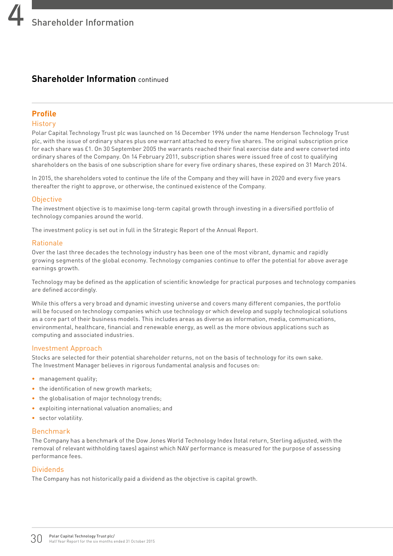## **Shareholder Information** continued

#### **Profile**

#### **History**

Polar Capital Technology Trust plc was launched on 16 December 1996 under the name Henderson Technology Trust plc, with the issue of ordinary shares plus one warrant attached to every five shares. The original subscription price for each share was £1. On 30 September 2005 the warrants reached their final exercise date and were converted into ordinary shares of the Company. On 14 February 2011, subscription shares were issued free of cost to qualifying shareholders on the basis of one subscription share for every five ordinary shares, these expired on 31 March 2014.

In 2015, the shareholders voted to continue the life of the Company and they will have in 2020 and every five years thereafter the right to approve, or otherwise, the continued existence of the Company.

#### **Objective**

The investment objective is to maximise long-term capital growth through investing in a diversified portfolio of technology companies around the world.

The investment policy is set out in full in the Strategic Report of the Annual Report.

#### Rationale

Over the last three decades the technology industry has been one of the most vibrant, dynamic and rapidly growing segments of the global economy. Technology companies continue to offer the potential for above average earnings growth.

Technology may be defined as the application of scientific knowledge for practical purposes and technology companies are defined accordingly.

While this offers a very broad and dynamic investing universe and covers many different companies, the portfolio will be focused on technology companies which use technology or which develop and supply technological solutions as a core part of their business models. This includes areas as diverse as information, media, communications, environmental, healthcare, financial and renewable energy, as well as the more obvious applications such as computing and associated industries.

#### Investment Approach

Stocks are selected for their potential shareholder returns, not on the basis of technology for its own sake. The Investment Manager believes in rigorous fundamental analysis and focuses on:

- management quality;
- the identification of new growth markets:
- the globalisation of major technology trends;
- exploiting international valuation anomalies; and
- sector volatility.

#### Benchmark

The Company has a benchmark of the Dow Jones World Technology Index (total return, Sterling adjusted, with the removal of relevant withholding taxes) against which NAV performance is measured for the purpose of assessing performance fees.

#### Dividends

The Company has not historically paid a dividend as the objective is capital growth.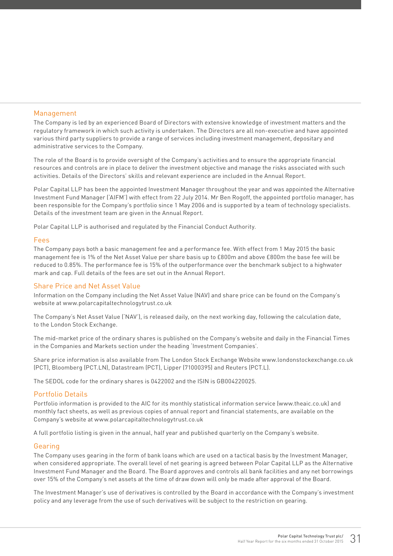#### Management

The Company is led by an experienced Board of Directors with extensive knowledge of investment matters and the regulatory framework in which such activity is undertaken. The Directors are all non-executive and have appointed various third party suppliers to provide a range of services including investment management, depositary and administrative services to the Company.

The role of the Board is to provide oversight of the Company's activities and to ensure the appropriate financial resources and controls are in place to deliver the investment objective and manage the risks associated with such activities. Details of the Directors' skills and relevant experience are included in the Annual Report.

Polar Capital LLP has been the appointed Investment Manager throughout the year and was appointed the Alternative Investment Fund Manager ('AIFM') with effect from 22 July 2014. Mr Ben Rogoff, the appointed portfolio manager, has been responsible for the Company's portfolio since 1 May 2006 and is supported by a team of technology specialists. Details of the investment team are given in the Annual Report.

Polar Capital LLP is authorised and regulated by the Financial Conduct Authority.

#### Fees

The Company pays both a basic management fee and a performance fee. With effect from 1 May 2015 the basic management fee is 1% of the Net Asset Value per share basis up to £800m and above £800m the base fee will be reduced to 0.85%. The performance fee is 15% of the outperformance over the benchmark subject to a highwater mark and cap. Full details of the fees are set out in the Annual Report.

#### Share Price and Net Asset Value

Information on the Company including the Net Asset Value (NAV) and share price can be found on the Company's website at www.polarcapitaltechnologytrust.co.uk

The Company's Net Asset Value ('NAV'), is released daily, on the next working day, following the calculation date, to the London Stock Exchange.

The mid-market price of the ordinary shares is published on the Company's website and daily in the Financial Times in the Companies and Markets section under the heading 'Investment Companies'.

Share price information is also available from The London Stock Exchange Website www.londonstockexchange.co.uk (PCT), Bloomberg (PCT.LN), Datastream (PCT), Lipper (71000395) and Reuters (PCT.L).

The SEDOL code for the ordinary shares is 0422002 and the ISIN is GB004220025.

#### Portfolio Details

Portfolio information is provided to the AIC for its monthly statistical information service (www.theaic.co.uk) and monthly fact sheets, as well as previous copies of annual report and financial statements, are available on the Company's website at www.polarcapitaltechnologytrust.co.uk

A full portfolio listing is given in the annual, half year and published quarterly on the Company's website.

#### Gearing

The Company uses gearing in the form of bank loans which are used on a tactical basis by the Investment Manager, when considered appropriate. The overall level of net gearing is agreed between Polar Capital LLP as the Alternative Investment Fund Manager and the Board. The Board approves and controls all bank facilities and any net borrowings over 15% of the Company's net assets at the time of draw down will only be made after approval of the Board.

The Investment Manager's use of derivatives is controlled by the Board in accordance with the Company's investment policy and any leverage from the use of such derivatives will be subject to the restriction on gearing.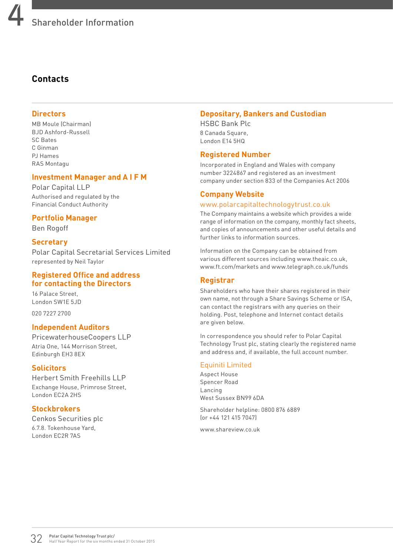## **Contacts**

#### **Directors**

MB Moule (Chairman) BJD Ashford-Russell SC Bates C Ginman PJ Hames RAS Montagu

#### **Investment Manager and A I F M**

Polar Capital LLP Authorised and regulated by the Financial Conduct Authority

#### **Portfolio Manager**

Ben Rogoff

#### **Secretary**

Polar Capital Secretarial Services Limited represented by Neil Taylor

#### **Registered Office and address for contacting the Directors**

16 Palace Street, London SW1E 5JD

020 7227 2700

#### **Independent Auditors**

PricewaterhouseCoopers LLP Atria One, 144 Morrison Street, Edinburgh EH3 8EX

#### **Solicitors**

Herbert Smith Freehills LLP Exchange House, Primrose Street, London EC2A 2HS

#### **Stockbrokers**

Cenkos Securities plc 6.7.8. Tokenhouse Yard, London EC2R 7AS

#### **Depositary, Bankers and Custodian**

HSBC Bank Plc 8 Canada Square, London E14 5HQ

#### **Registered Number**

Incorporated in England and Wales with company number 3224867 and registered as an investment company under section 833 of the Companies Act 2006

#### **Company Website**

#### www.polarcapitaltechnologytrust.co.uk

The Company maintains a website which provides a wide range of information on the company, monthly fact sheets, and copies of announcements and other useful details and further links to information sources.

Information on the Company can be obtained from various different sources including www.theaic.co.uk, www.ft.com/markets and www.telegraph.co.uk/funds

#### **Registrar**

Shareholders who have their shares registered in their own name, not through a Share Savings Scheme or ISA, can contact the registrars with any queries on their holding. Post, telephone and Internet contact details are given below.

In correspondence you should refer to Polar Capital Technology Trust plc, stating clearly the registered name and address and, if available, the full account number.

#### Equiniti Limited

Aspect House Spencer Road Lancing West Sussex BN99 6DA

Shareholder helpline: 0800 876 6889 (or +44 121 415 7047)

www.shareview.co.uk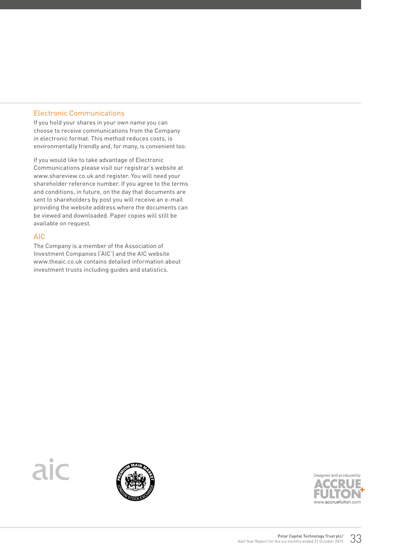#### Electronic Communications

If you hold your shares in your own name you can choose to receive communications from the Company in electronic format. This method reduces costs, is environmentally friendly and, for many, is convenient too.

If you would like to take advantage of Electronic Communications please visit our registrar's website at www.shareview.co.uk and register. You will need your shareholder reference number. If you agree to the terms and conditions, in future, on the day that documents are sent to shareholders by post you will receive an e-mail providing the website address where the documents can be viewed and downloaded. Paper copies will still be available on request.

#### AIC

The Company is a member of the Association of Investment Companies ('AIC') and the AIC website www.theaic.co.uk contains detailed information about investment trusts including guides and statistics.